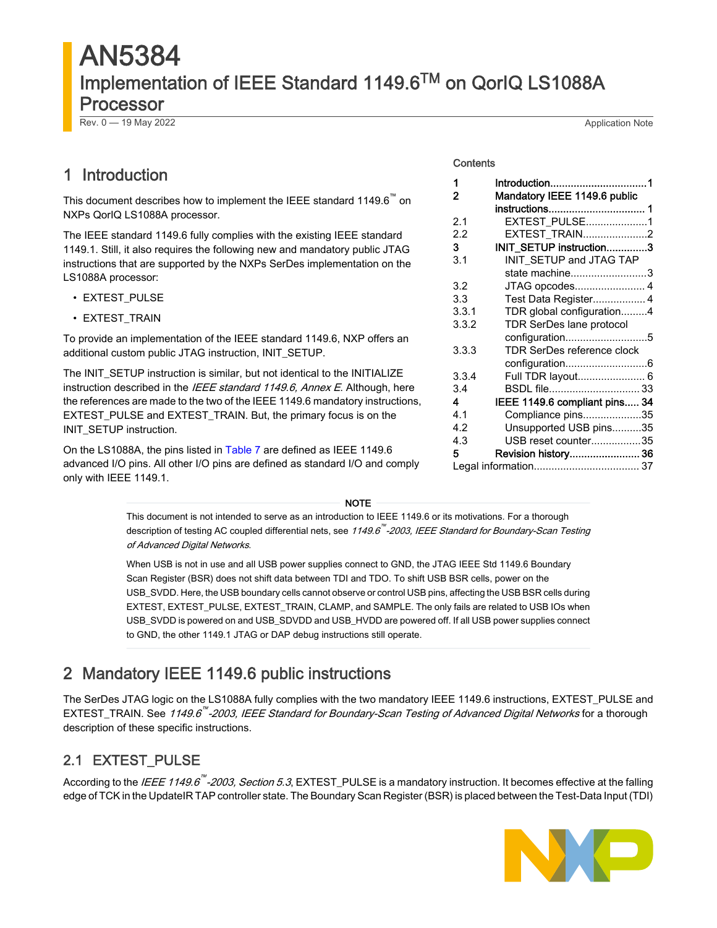# AN5384 Implementation of IEEE Standard 1149.6TM on QorIQ LS1088A Processor

Rev. 0 — 19 May 2022 Application Note

INIT\_SETUP instruction.

|                                                                                                                                                                                                                                                   | <b>Contents</b>                  |                                                                     |
|---------------------------------------------------------------------------------------------------------------------------------------------------------------------------------------------------------------------------------------------------|----------------------------------|---------------------------------------------------------------------|
| 1 Introduction<br>This document describes how to implement the IEEE standard 1149.6 on                                                                                                                                                            | 2                                | Mandatory IEEE 1149.6 public                                        |
| NXPs QorIQ LS1088A processor.                                                                                                                                                                                                                     | 2.1                              | EXTEST_PULSE1                                                       |
| The IEEE standard 1149.6 fully complies with the existing IEEE standard<br>1149.1. Still, it also requires the following new and mandatory public JTAG<br>instructions that are supported by the NXPs SerDes implementation on the                | 2.2<br>3<br>3.1                  | EXTEST_TRAIN2<br>INIT_SETUP instruction3<br>INIT SETUP and JTAG TAP |
| LS1088A processor:<br>• EXTEST_PULSE                                                                                                                                                                                                              | 3.2<br>3.3 <sub>2</sub><br>3.3.1 | state machine3<br>Test Data Register 4<br>TDR global configuration4 |
| • EXTEST_TRAIN                                                                                                                                                                                                                                    | 3.3.2                            | TDR SerDes lane protocol<br>configuration5                          |
| To provide an implementation of the IEEE standard 1149.6, NXP offers an<br>additional custom public JTAG instruction, INIT SETUP.                                                                                                                 | 3.3.3                            | TDR SerDes reference clock                                          |
| The INIT_SETUP instruction is similar, but not identical to the INITIALIZE<br>instruction described in the <i>IEEE standard 1149.6, Annex E</i> . Although, here<br>the references are made to the two of the IEEE 1149.6 mandatory instructions, | 3.3.4<br>3.4<br>4                | Full TDR layout 6                                                   |
| EXTEST_PULSE and EXTEST_TRAIN. But, the primary focus is on the                                                                                                                                                                                   | 4.1                              | IEEE 1149.6 compliant pins 34<br>Compliance pins35                  |

On the LS1088A, the pins listed in [Table 7](#page-33-0) are defined as IEEE 1149.6 advanced I/O pins. All other I/O pins are defined as standard I/O and comply only with IEEE 1149.1.

#### Contents

| 2     | Mandatory IEEE 1149.6 public  |
|-------|-------------------------------|
|       | instructions 1                |
| 2.1   | EXTEST PULSE1                 |
| 2.2   | EXTEST_TRAIN2                 |
| 3     | INIT_SETUP instruction3       |
| 3.1   | INIT_SETUP and JTAG TAP       |
|       | state machine3                |
| 3.2   | JTAG opcodes 4                |
| 3.3   | Test Data Register 4          |
| 3.3.1 | TDR global configuration4     |
| 3.3.2 | TDR SerDes lane protocol      |
|       | configuration5                |
| 3.3.3 | TDR SerDes reference clock    |
|       |                               |
| 3.3.4 | Full TDR layout 6             |
| 3.4   | BSDL file 33                  |
| 4     | IEEE 1149.6 compliant pins 34 |
| 4.1   | Compliance pins35             |
| 4.2   | Unsupported USB pins35        |
| 4.3   | USB reset counter35           |
| 5     | Revision history 36           |
|       |                               |

#### NOTE

This document is not intended to serve as an introduction to IEEE 1149.6 or its motivations. For a thorough description of testing AC coupled differential nets, see *1149.6<sup>™</sup>-2003, IEEE Standard for Boundary-Scan Testing* of Advanced Digital Networks.

When USB is not in use and all USB power supplies connect to GND, the JTAG IEEE Std 1149.6 Boundary Scan Register (BSR) does not shift data between TDI and TDO. To shift USB BSR cells, power on the USB\_SVDD. Here, the USB boundary cells cannot observe or control USB pins, affecting the USB BSR cells during EXTEST, EXTEST\_PULSE, EXTEST\_TRAIN, CLAMP, and SAMPLE. The only fails are related to USB IOs when USB\_SVDD is powered on and USB\_SDVDD and USB\_HVDD are powered off. If all USB power supplies connect to GND, the other 1149.1 JTAG or DAP debug instructions still operate.

# 2 Mandatory IEEE 1149.6 public instructions

The SerDes JTAG logic on the LS1088A fully complies with the two mandatory IEEE 1149.6 instructions, EXTEST\_PULSE and EXTEST\_TRAIN. See 1149.6<sup>™</sup>-2003, IEEE Standard for Boundary-Scan Testing of Advanced Digital Networks for a thorough description of these specific instructions.

# 2.1 EXTEST\_PULSE

According to the *IEEE 1149.6™-2003, Section 5.3*, EXTEST\_PULSE is a mandatory instruction. It becomes effective at the falling edge of TCK in the UpdateIR TAP controller state. The Boundary Scan Register (BSR) is placed between the Test-Data Input (TDI)

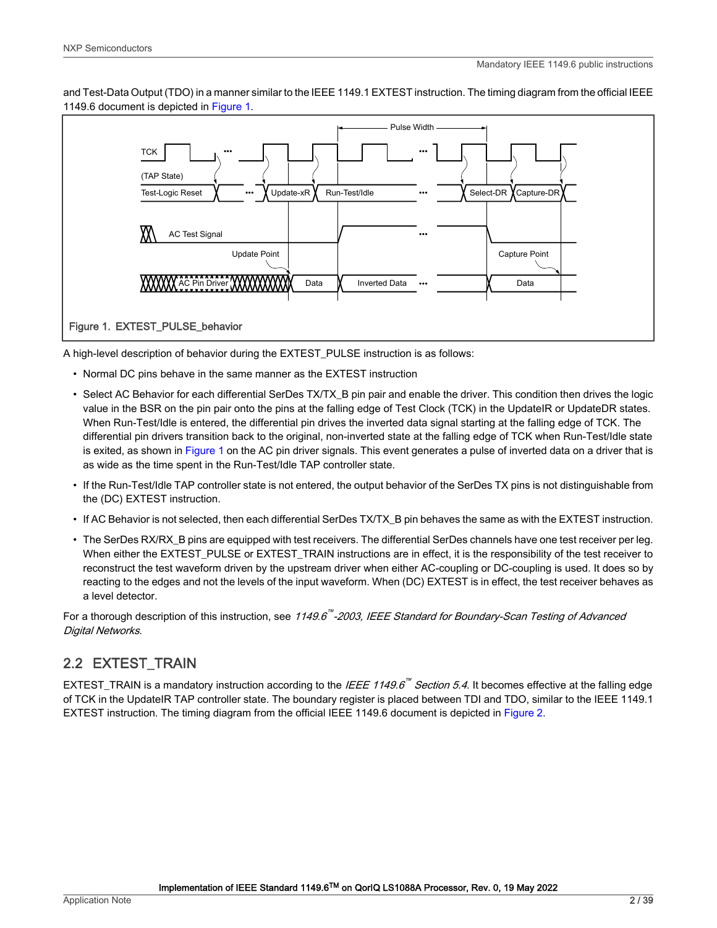<span id="page-1-0"></span>and Test-Data Output (TDO) in a manner similar to the IEEE 1149.1 EXTEST instruction. The timing diagram from the official IEEE 1149.6 document is depicted in Figure 1.



A high-level description of behavior during the EXTEST\_PULSE instruction is as follows:

- Normal DC pins behave in the same manner as the EXTEST instruction
- Select AC Behavior for each differential SerDes TX/TX\_B pin pair and enable the driver. This condition then drives the logic value in the BSR on the pin pair onto the pins at the falling edge of Test Clock (TCK) in the UpdateIR or UpdateDR states. When Run-Test/Idle is entered, the differential pin drives the inverted data signal starting at the falling edge of TCK. The differential pin drivers transition back to the original, non-inverted state at the falling edge of TCK when Run-Test/Idle state is exited, as shown in Figure 1 on the AC pin driver signals. This event generates a pulse of inverted data on a driver that is as wide as the time spent in the Run-Test/Idle TAP controller state.
- If the Run-Test/Idle TAP controller state is not entered, the output behavior of the SerDes TX pins is not distinguishable from the (DC) EXTEST instruction.
- If AC Behavior is not selected, then each differential SerDes TX/TX B pin behaves the same as with the EXTEST instruction.
- The SerDes RX/RX\_B pins are equipped with test receivers. The differential SerDes channels have one test receiver per leg. When either the EXTEST\_PULSE or EXTEST\_TRAIN instructions are in effect, it is the responsibility of the test receiver to reconstruct the test waveform driven by the upstream driver when either AC-coupling or DC-coupling is used. It does so by reacting to the edges and not the levels of the input waveform. When (DC) EXTEST is in effect, the test receiver behaves as a level detector.

For a thorough description of this instruction, see 1149.6<sup>""</sup>-2003, IEEE Standard for Boundary-Scan Testing of Advanced Digital Networks.

# 2.2 EXTEST\_TRAIN

EXTEST\_TRAIN is a mandatory instruction according to the *IEEE 1149.6*<sup>""</sup> Section 5.4. It becomes effective at the falling edge of TCK in the UpdateIR TAP controller state. The boundary register is placed between TDI and TDO, similar to the IEEE 1149.1 EXTEST instruction. The timing diagram from the official IEEE 1149.6 document is depicted in [Figure 2.](#page-2-0)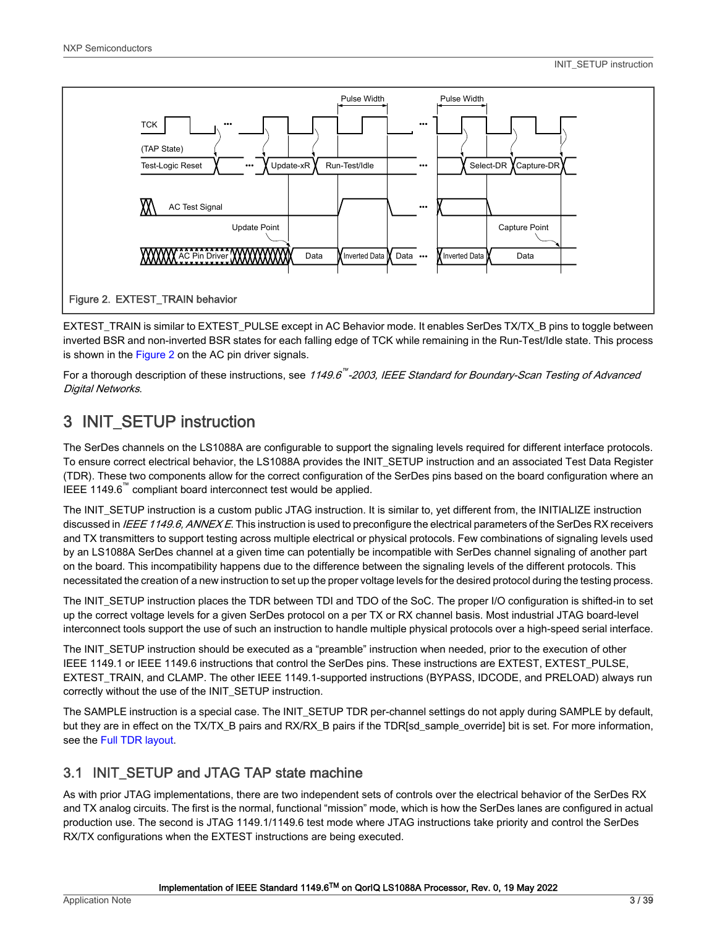<span id="page-2-0"></span>

EXTEST\_TRAIN is similar to EXTEST\_PULSE except in AC Behavior mode. It enables SerDes TX/TX\_B pins to toggle between inverted BSR and non-inverted BSR states for each falling edge of TCK while remaining in the Run-Test/Idle state. This process is shown in the Figure 2 on the AC pin driver signals.

For a thorough description of these instructions, see *1149.6<sup>™</sup>-2003, IEEE Standard for Boundary-Scan Testing of Advanced* Digital Networks.

# 3 INIT\_SETUP instruction

The SerDes channels on the LS1088A are configurable to support the signaling levels required for different interface protocols. To ensure correct electrical behavior, the LS1088A provides the INIT\_SETUP instruction and an associated Test Data Register (TDR). These two components allow for the correct configuration of the SerDes pins based on the board configuration where an IEEE 1149.6<sup>™</sup> compliant board interconnect test would be applied.

The INIT\_SETUP instruction is a custom public JTAG instruction. It is similar to, yet different from, the INITIALIZE instruction discussed in IEEE 1149.6, ANNEX E. This instruction is used to preconfigure the electrical parameters of the SerDes RX receivers and TX transmitters to support testing across multiple electrical or physical protocols. Few combinations of signaling levels used by an LS1088A SerDes channel at a given time can potentially be incompatible with SerDes channel signaling of another part on the board. This incompatibility happens due to the difference between the signaling levels of the different protocols. This necessitated the creation of a new instruction to set up the proper voltage levels for the desired protocol during the testing process.

The INIT\_SETUP instruction places the TDR between TDI and TDO of the SoC. The proper I/O configuration is shifted-in to set up the correct voltage levels for a given SerDes protocol on a per TX or RX channel basis. Most industrial JTAG board-level interconnect tools support the use of such an instruction to handle multiple physical protocols over a high-speed serial interface.

The INIT\_SETUP instruction should be executed as a "preamble" instruction when needed, prior to the execution of other IEEE 1149.1 or IEEE 1149.6 instructions that control the SerDes pins. These instructions are EXTEST, EXTEST\_PULSE, EXTEST\_TRAIN, and CLAMP. The other IEEE 1149.1-supported instructions (BYPASS, IDCODE, and PRELOAD) always run correctly without the use of the INIT\_SETUP instruction.

The SAMPLE instruction is a special case. The INIT\_SETUP TDR per-channel settings do not apply during SAMPLE by default, but they are in effect on the TX/TX\_B pairs and RX/RX\_B pairs if the TDR[sd\_sample\_override] bit is set. For more information, see the [Full TDR layout](#page-5-0).

# 3.1 INIT\_SETUP and JTAG TAP state machine

As with prior JTAG implementations, there are two independent sets of controls over the electrical behavior of the SerDes RX and TX analog circuits. The first is the normal, functional "mission" mode, which is how the SerDes lanes are configured in actual production use. The second is JTAG 1149.1/1149.6 test mode where JTAG instructions take priority and control the SerDes RX/TX configurations when the EXTEST instructions are being executed.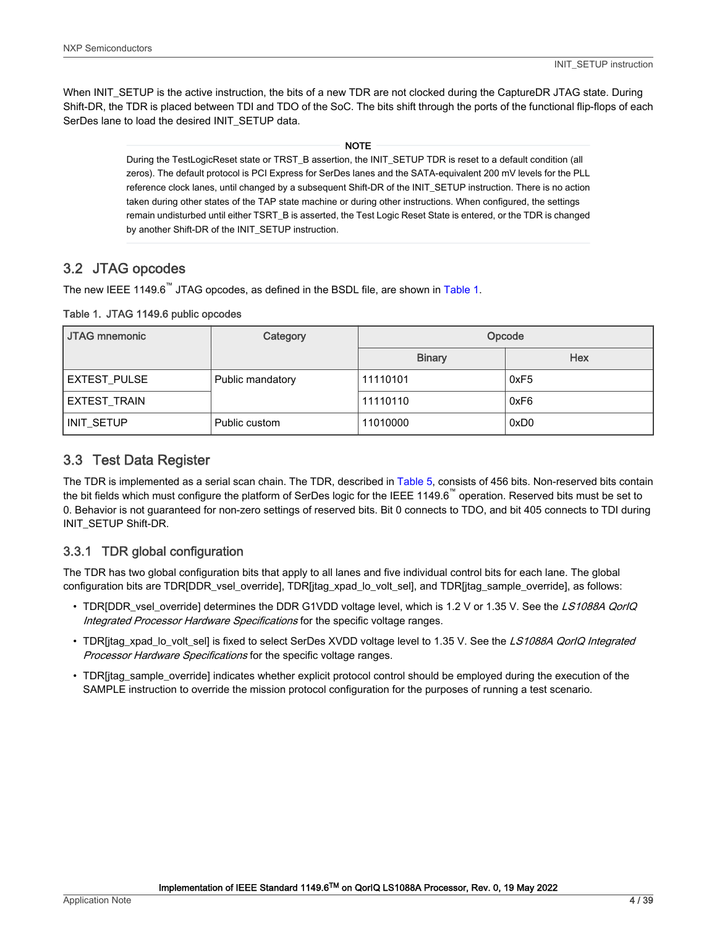<span id="page-3-0"></span>When INIT\_SETUP is the active instruction, the bits of a new TDR are not clocked during the CaptureDR JTAG state. During Shift-DR, the TDR is placed between TDI and TDO of the SoC. The bits shift through the ports of the functional flip-flops of each SerDes lane to load the desired INIT\_SETUP data.

NOTE

During the TestLogicReset state or TRST\_B assertion, the INIT\_SETUP TDR is reset to a default condition (all zeros). The default protocol is PCI Express for SerDes lanes and the SATA-equivalent 200 mV levels for the PLL reference clock lanes, until changed by a subsequent Shift-DR of the INIT\_SETUP instruction. There is no action taken during other states of the TAP state machine or during other instructions. When configured, the settings remain undisturbed until either TSRT\_B is asserted, the Test Logic Reset State is entered, or the TDR is changed by another Shift-DR of the INIT\_SETUP instruction.

# 3.2 JTAG opcodes

The new IEEE 1149.6<sup>™</sup> JTAG opcodes, as defined in the BSDL file, are shown in Table 1.

Table 1. JTAG 1149.6 public opcodes

| <b>JTAG mnemonic</b> | Category         | Opcode        |            |  |
|----------------------|------------------|---------------|------------|--|
|                      |                  | <b>Binary</b> | <b>Hex</b> |  |
| <b>EXTEST_PULSE</b>  | Public mandatory | 11110101      | 0xF5       |  |
| EXTEST_TRAIN         |                  | 11110110      | 0xF6       |  |
| INIT_SETUP           | Public custom    | 11010000      | 0xD0       |  |

## 3.3 Test Data Register

The TDR is implemented as a serial scan chain. The TDR, described in [Table 5](#page-6-0), consists of 456 bits. Non-reserved bits contain the bit fields which must configure the platform of SerDes logic for the IEEE 1149.6<sup>™</sup> operation. Reserved bits must be set to 0. Behavior is not guaranteed for non-zero settings of reserved bits. Bit 0 connects to TDO, and bit 405 connects to TDI during INIT\_SETUP Shift-DR.

# 3.3.1 TDR global configuration

The TDR has two global configuration bits that apply to all lanes and five individual control bits for each lane. The global configuration bits are TDR[DDR\_vsel\_override], TDR[jtag\_xpad\_lo\_volt\_sel], and TDR[jtag\_sample\_override], as follows:

- TDR[DDR\_vsel\_override] determines the DDR G1VDD voltage level, which is 1.2 V or 1.35 V. See the LS1088A QorIQ Integrated Processor Hardware Specifications for the specific voltage ranges.
- TDR[jtag\_xpad\_lo\_volt\_sel] is fixed to select SerDes XVDD voltage level to 1.35 V. See the LS1088A QorIQ Integrated Processor Hardware Specifications for the specific voltage ranges.
- TDR[jtag\_sample\_override] indicates whether explicit protocol control should be employed during the execution of the SAMPLE instruction to override the mission protocol configuration for the purposes of running a test scenario.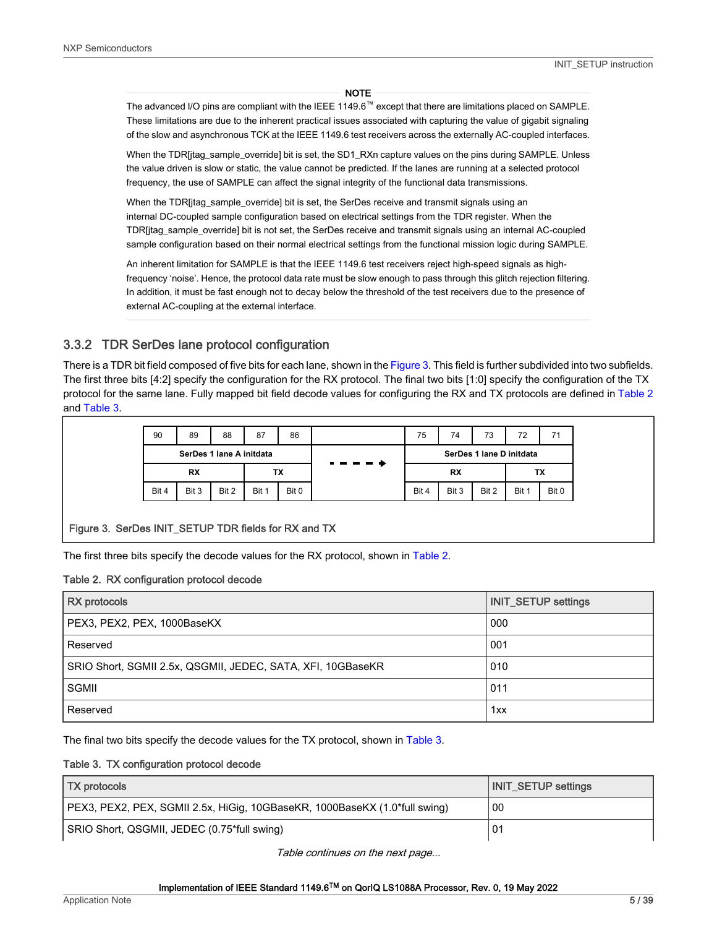#### **NOTE**

<span id="page-4-0"></span>The advanced I/O pins are compliant with the IEEE 1149.6™ except that there are limitations placed on SAMPLE. These limitations are due to the inherent practical issues associated with capturing the value of gigabit signaling of the slow and asynchronous TCK at the IEEE 1149.6 test receivers across the externally AC-coupled interfaces.

When the TDR[jtag\_sample\_override] bit is set, the SD1\_RXn capture values on the pins during SAMPLE. Unless the value driven is slow or static, the value cannot be predicted. If the lanes are running at a selected protocol frequency, the use of SAMPLE can affect the signal integrity of the functional data transmissions.

When the TDR[jtag\_sample\_override] bit is set, the SerDes receive and transmit signals using an internal DC-coupled sample configuration based on electrical settings from the TDR register. When the TDR[jtag\_sample\_override] bit is not set, the SerDes receive and transmit signals using an internal AC-coupled sample configuration based on their normal electrical settings from the functional mission logic during SAMPLE.

An inherent limitation for SAMPLE is that the IEEE 1149.6 test receivers reject high-speed signals as highfrequency 'noise'. Hence, the protocol data rate must be slow enough to pass through this glitch rejection filtering. In addition, it must be fast enough not to decay below the threshold of the test receivers due to the presence of external AC-coupling at the external interface.

### 3.3.2 TDR SerDes lane protocol configuration

There is a TDR bit field composed of five bits for each lane, shown in the Figure 3. This field is further subdivided into two subfields. The first three bits [4:2] specify the configuration for the RX protocol. The final two bits [1:0] specify the configuration of the TX protocol for the same lane. Fully mapped bit field decode values for configuring the RX and TX protocols are defined in Table 2 and Table 3.

| 90    | 89                       | 88    | 87    | 86        | 75    | 74                       | 73    | 72    |       |
|-------|--------------------------|-------|-------|-----------|-------|--------------------------|-------|-------|-------|
|       | SerDes 1 lane A initdata |       |       |           |       | SerDes 1 lane D initdata |       |       |       |
|       | RX<br>ТX                 |       |       | <b>RX</b> |       |                          | ТX    |       |       |
| Bit 4 | Bit 3                    | Bit 2 | Bit 1 | Bit 0     | Bit 4 | Bit 3                    | Bit 2 | Bit 1 | Bit 0 |

#### Figure 3. SerDes INIT\_SETUP TDR fields for RX and TX

The first three bits specify the decode values for the RX protocol, shown in Table 2.

#### Table 2. RX configuration protocol decode

| <b>RX</b> protocols                                         | <b>INIT_SETUP settings</b> |
|-------------------------------------------------------------|----------------------------|
| PEX3, PEX2, PEX, 1000BaseKX                                 | 000                        |
| Reserved                                                    | 001                        |
| SRIO Short, SGMII 2.5x, QSGMII, JEDEC, SATA, XFI, 10GBaseKR | 010                        |
| SGMII                                                       | 011                        |
| Reserved                                                    | 1xx                        |

The final two bits specify the decode values for the TX protocol, shown in Table 3.

#### Table 3. TX configuration protocol decode

| <b>TX</b> protocols                                                        | INIT SETUP settings |
|----------------------------------------------------------------------------|---------------------|
| PEX3, PEX2, PEX, SGMII 2.5x, HiGig, 10GBaseKR, 1000BaseKX (1.0*full swing) | 00                  |
| SRIO Short, QSGMII, JEDEC (0.75*full swing)                                |                     |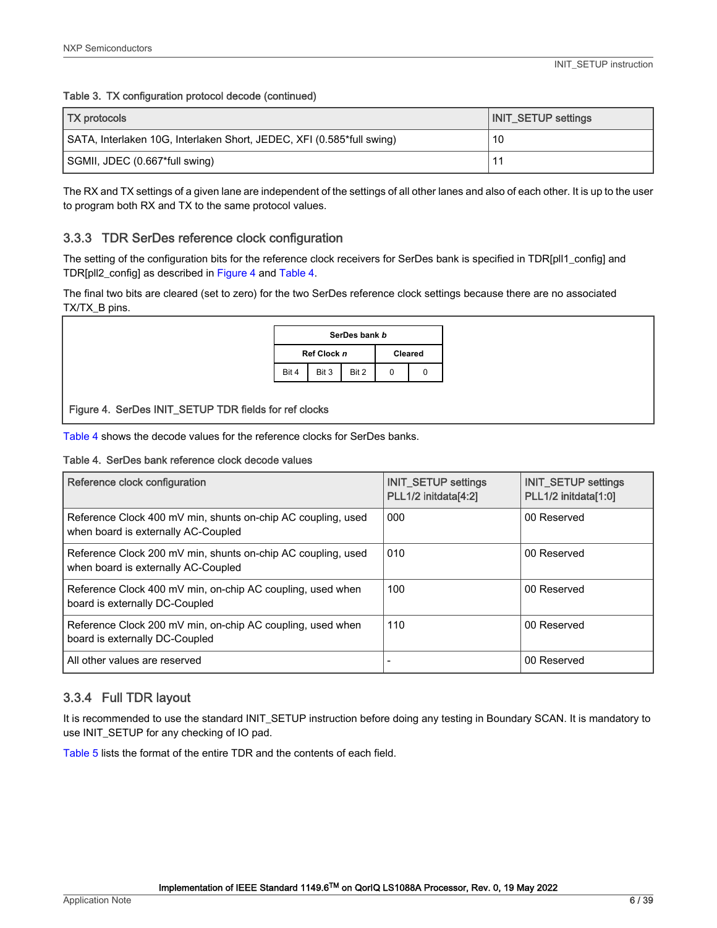#### <span id="page-5-0"></span>Table 3. TX configuration protocol decode (continued)

| <b>TX</b> protocols                                                   | <b>INIT_SETUP settings</b> |
|-----------------------------------------------------------------------|----------------------------|
| SATA, Interlaken 10G, Interlaken Short, JEDEC, XFI (0.585*full swing) | 10                         |
| SGMII, JDEC (0.667*full swing)                                        |                            |

The RX and TX settings of a given lane are independent of the settings of all other lanes and also of each other. It is up to the user to program both RX and TX to the same protocol values.

#### 3.3.3 TDR SerDes reference clock configuration

The setting of the configuration bits for the reference clock receivers for SerDes bank is specified in TDR[pll1\_config] and TDR[pll2\_config] as described in Figure 4 and Table 4.

The final two bits are cleared (set to zero) for the two SerDes reference clock settings because there are no associated TX/TX\_B pins.

| SerDes bank b |             |                |  |  |  |
|---------------|-------------|----------------|--|--|--|
|               | Ref Clock n | <b>Cleared</b> |  |  |  |
| Bit 4         | Bit 3       |                |  |  |  |

Figure 4. SerDes INIT\_SETUP TDR fields for ref clocks

Table 4 shows the decode values for the reference clocks for SerDes banks.

#### Table 4. SerDes bank reference clock decode values

| Reference clock configuration                                                                       | <b>INIT_SETUP settings</b><br>PLL1/2 initdata[4:2] | <b>INIT_SETUP settings</b><br>PLL1/2 initdata[1:0] |
|-----------------------------------------------------------------------------------------------------|----------------------------------------------------|----------------------------------------------------|
| Reference Clock 400 mV min, shunts on-chip AC coupling, used<br>when board is externally AC-Coupled | 000                                                | 00 Reserved                                        |
| Reference Clock 200 mV min, shunts on-chip AC coupling, used<br>when board is externally AC-Coupled | 010                                                | 00 Reserved                                        |
| Reference Clock 400 mV min, on-chip AC coupling, used when<br>board is externally DC-Coupled        | 100                                                | 00 Reserved                                        |
| Reference Clock 200 mV min, on-chip AC coupling, used when<br>board is externally DC-Coupled        | 110                                                | 00 Reserved                                        |
| All other values are reserved                                                                       |                                                    | 00 Reserved                                        |

#### 3.3.4 Full TDR layout

It is recommended to use the standard INIT\_SETUP instruction before doing any testing in Boundary SCAN. It is mandatory to use INIT\_SETUP for any checking of IO pad.

[Table 5](#page-6-0) lists the format of the entire TDR and the contents of each field.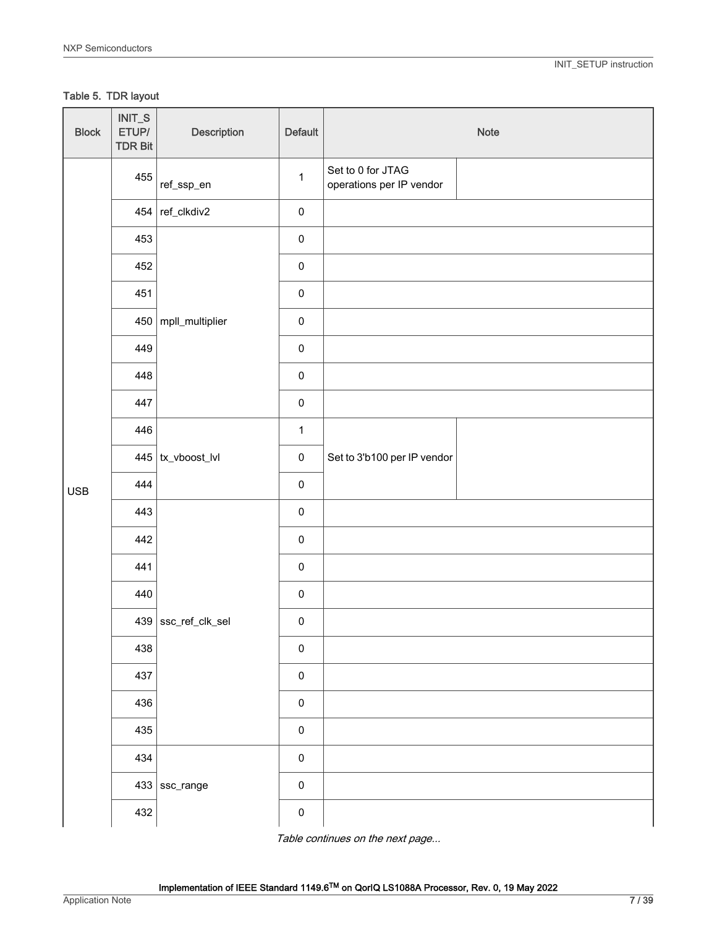### <span id="page-6-0"></span>Table 5. TDR layout

| <b>Block</b> | $INT_S$<br>ETUP/<br><b>TDR Bit</b> | Description                   | Default      |                                               | Note |
|--------------|------------------------------------|-------------------------------|--------------|-----------------------------------------------|------|
|              | 455                                | ref_ssp_en                    | $\mathbf{1}$ | Set to 0 for JTAG<br>operations per IP vendor |      |
|              |                                    | 454 $ref$ <sub>-clkdiv2</sub> | $\mathbf 0$  |                                               |      |
|              | 453                                |                               | $\pmb{0}$    |                                               |      |
|              | 452                                |                               | $\pmb{0}$    |                                               |      |
|              | 451                                |                               | $\pmb{0}$    |                                               |      |
|              | 450                                | mpll_multiplier               | $\pmb{0}$    |                                               |      |
|              | 449                                |                               | $\pmb{0}$    |                                               |      |
|              | 448                                |                               | $\mathbf 0$  |                                               |      |
|              | 447                                |                               | $\pmb{0}$    |                                               |      |
|              | 446                                |                               | $\mathbf{1}$ |                                               |      |
| <b>USB</b>   |                                    | $445$   tx_vboost_lvl         | $\pmb{0}$    | Set to 3'b100 per IP vendor                   |      |
|              | 444                                |                               | $\mathbf 0$  |                                               |      |
|              | 443                                |                               | $\pmb{0}$    |                                               |      |
|              | 442                                |                               | $\pmb{0}$    |                                               |      |
|              | 441                                |                               | $\pmb{0}$    |                                               |      |
|              | 440                                |                               | $\pmb{0}$    |                                               |      |
|              |                                    | 439 ssc_ref_clk_sel           | $\pmb{0}$    |                                               |      |
|              | 438                                |                               | $\mathbf 0$  |                                               |      |
|              | 437                                |                               | $\mathbf 0$  |                                               |      |
|              | 436                                |                               | $\pmb{0}$    |                                               |      |
|              | 435                                |                               | $\mathbf 0$  |                                               |      |
|              | 434                                |                               | $\pmb{0}$    |                                               |      |
|              |                                    | $433$ ssc_range               | $\pmb{0}$    |                                               |      |
|              | 432                                |                               | $\pmb{0}$    |                                               |      |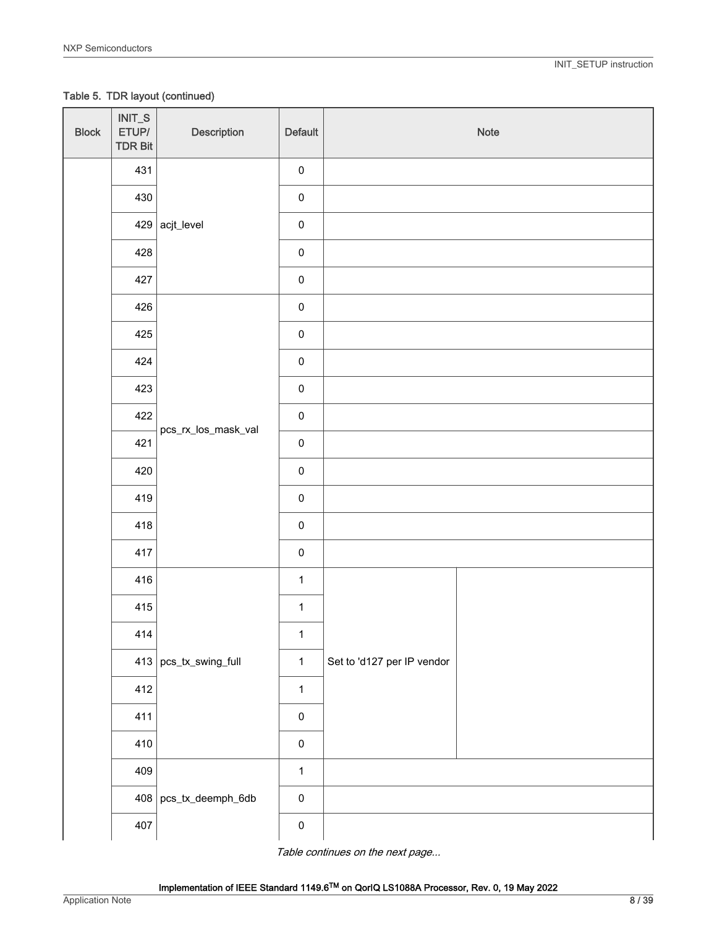Table 5. TDR layout (continued)

| <b>Block</b> | $INT_S$<br>ETUP/<br><b>TDR Bit</b> | Description             | Default      |                            | Note |
|--------------|------------------------------------|-------------------------|--------------|----------------------------|------|
|              | 431                                |                         | $\pmb{0}$    |                            |      |
|              | 430                                |                         | $\pmb{0}$    |                            |      |
|              |                                    | $429$ acjt_level        | $\pmb{0}$    |                            |      |
|              | 428                                |                         | $\pmb{0}$    |                            |      |
|              | 427                                |                         | $\mathbf 0$  |                            |      |
|              | 426                                |                         | $\pmb{0}$    |                            |      |
|              | 425                                |                         | $\mathbf 0$  |                            |      |
|              | 424                                |                         | $\pmb{0}$    |                            |      |
|              | 423                                |                         | $\pmb{0}$    |                            |      |
|              | 422                                | pcs_rx_los_mask_val     | $\pmb{0}$    |                            |      |
|              | 421                                |                         | $\pmb{0}$    |                            |      |
|              | 420                                |                         | $\pmb{0}$    |                            |      |
|              | 419                                |                         | $\pmb{0}$    |                            |      |
|              | 418                                |                         | $\pmb{0}$    |                            |      |
|              | 417                                |                         | $\pmb{0}$    |                            |      |
|              | 416                                |                         | $\mathbf{1}$ |                            |      |
|              | 415                                |                         | $\mathbf{1}$ |                            |      |
|              | $414\,$                            |                         | $\mathbf{1}$ |                            |      |
|              |                                    | $413$ pcs_tx_swing_full | $\mathbf{1}$ | Set to 'd127 per IP vendor |      |
|              | 412                                |                         | $\mathbf{1}$ |                            |      |
|              | 411                                |                         | $\pmb{0}$    |                            |      |
|              | 410                                |                         | $\pmb{0}$    |                            |      |
|              | 409                                |                         | $\mathbf{1}$ |                            |      |
|              |                                    | $408$ pcs_tx_deemph_6db | $\pmb{0}$    |                            |      |
|              | 407                                |                         | $\pmb{0}$    |                            |      |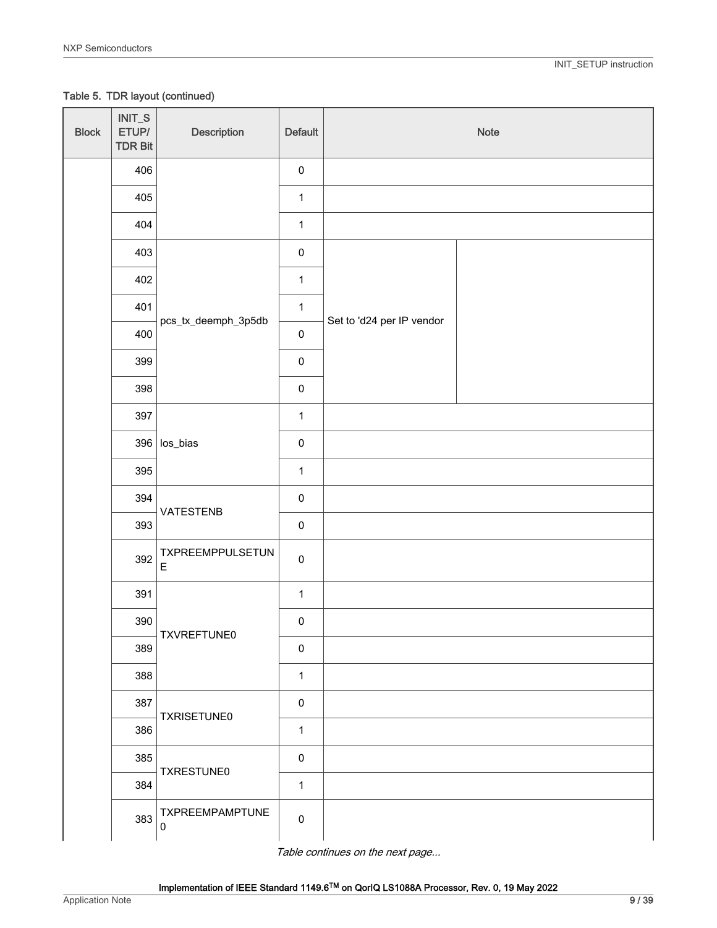Table 5. TDR layout (continued)

| <b>Block</b> | $INT_S$<br>ETUP/<br><b>TDR Bit</b> | Description                            | Default      |                           | Note |
|--------------|------------------------------------|----------------------------------------|--------------|---------------------------|------|
|              | 406                                |                                        | $\pmb{0}$    |                           |      |
|              | 405                                |                                        | $\mathbf{1}$ |                           |      |
|              | 404                                |                                        | $\mathbf{1}$ |                           |      |
|              | 403                                |                                        | $\pmb{0}$    |                           |      |
|              | 402                                |                                        | $\mathbf{1}$ |                           |      |
|              | 401                                | pcs_tx_deemph_3p5db                    | $\mathbf{1}$ | Set to 'd24 per IP vendor |      |
|              | 400                                |                                        | $\pmb{0}$    |                           |      |
|              | 399                                |                                        | $\pmb{0}$    |                           |      |
|              | 398                                |                                        | $\pmb{0}$    |                           |      |
|              | 397                                |                                        | $\mathbf{1}$ |                           |      |
|              |                                    | $396$ los_bias                         | $\pmb{0}$    |                           |      |
|              | 395                                |                                        | $\mathbf{1}$ |                           |      |
|              | 394                                | VATESTENB                              | $\pmb{0}$    |                           |      |
|              | 393                                |                                        | $\pmb{0}$    |                           |      |
|              | 392                                | <b>TXPREEMPPULSETUN</b><br>$\mathsf E$ | $\mathbf 0$  |                           |      |
|              | 391                                |                                        | $\mathbf{1}$ |                           |      |
|              | 390                                | TXVREFTUNE0                            | $\pmb{0}$    |                           |      |
|              | 389                                |                                        | $\pmb{0}$    |                           |      |
|              | 388                                |                                        | $\mathbf{1}$ |                           |      |
|              | 387                                | <b>TXRISETUNE0</b>                     | $\pmb{0}$    |                           |      |
|              | 386                                |                                        | $\mathbf{1}$ |                           |      |
|              | 385                                | TXRESTUNE0                             | $\pmb{0}$    |                           |      |
|              | 384                                |                                        | $\mathbf{1}$ |                           |      |
|              | 383                                | <b>TXPREEMPAMPTUNE</b><br>$\pmb{0}$    | $\pmb{0}$    |                           |      |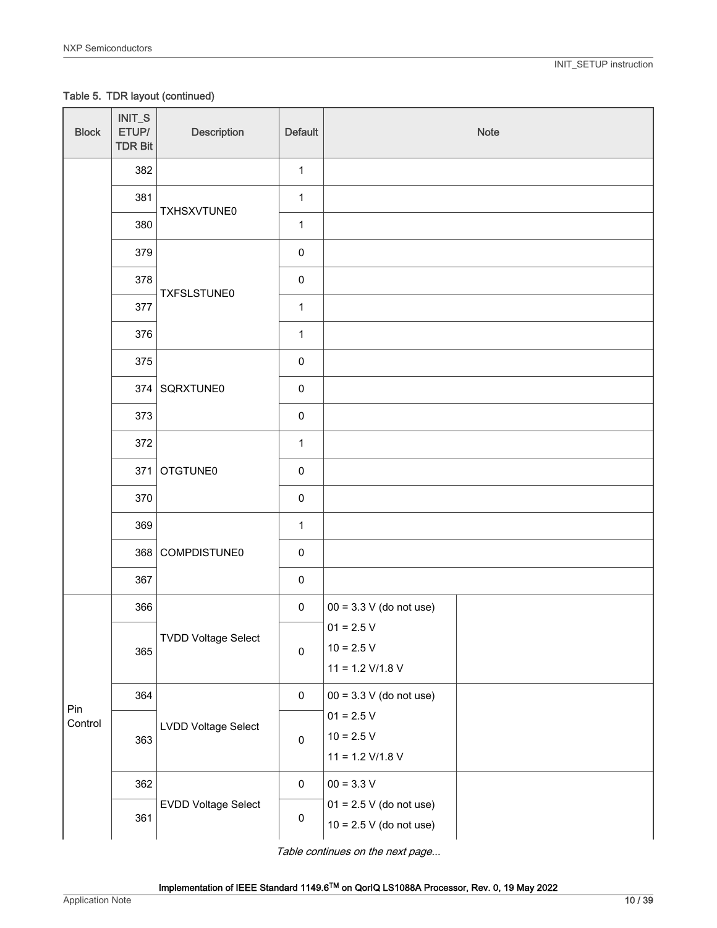Table 5. TDR layout (continued)

| <b>Block</b>   | INIT_S<br>ETUP/<br><b>TDR Bit</b> | <b>Description</b>         | <b>Default</b>      | Note                                                   |
|----------------|-----------------------------------|----------------------------|---------------------|--------------------------------------------------------|
|                | 382                               |                            | $\mathbf{1}$        |                                                        |
|                | 381                               | TXHSXVTUNE0                | $\mathbf{1}$        |                                                        |
|                | 380                               |                            | $\mathbf{1}$        |                                                        |
|                | 379                               |                            | $\pmb{0}$           |                                                        |
|                | 378                               | TXFSLSTUNE0                | $\pmb{0}$           |                                                        |
|                | 377                               |                            | $\mathbf 1$         |                                                        |
|                | 376                               |                            | $\mathbf{1}$        |                                                        |
|                | 375                               |                            | $\pmb{0}$           |                                                        |
|                |                                   | 374 SQRXTUNE0              | $\pmb{0}$           |                                                        |
|                | 373                               |                            | $\pmb{0}$           |                                                        |
|                | 372                               | 371 OTGTUNE0               | $\mathbf{1}$        |                                                        |
|                |                                   |                            | $\pmb{0}$           |                                                        |
|                | 370                               |                            | $\pmb{0}$           |                                                        |
|                | 369                               | 368 COMPDISTUNE0           | $\mathbf{1}$        |                                                        |
|                |                                   |                            | $\pmb{0}$           |                                                        |
|                | 367                               |                            | $\pmb{0}$           |                                                        |
|                | 366                               | <b>TVDD Voltage Select</b> | $\pmb{0}$           | $00 = 3.3 V$ (do not use)                              |
|                | 365                               |                            | $\mathbf 0$         | $01 = 2.5 V$<br>$10 = 2.5 V$<br>$11 = 1.2$ V/1.8 V     |
|                | 364                               |                            | $\pmb{0}$           | $00 = 3.3 V$ (do not use)                              |
| Pin<br>Control | 363                               | LVDD Voltage Select        | $\mathsf{O}\xspace$ | $01 = 2.5 V$<br>$10 = 2.5 V$<br>$11 = 1.2$ V/1.8 V     |
|                | 362                               |                            | $\pmb{0}$           | $00 = 3.3 V$                                           |
|                | 361                               | EVDD Voltage Select        | $\pmb{0}$           | $01 = 2.5 V$ (do not use)<br>$10 = 2.5 V$ (do not use) |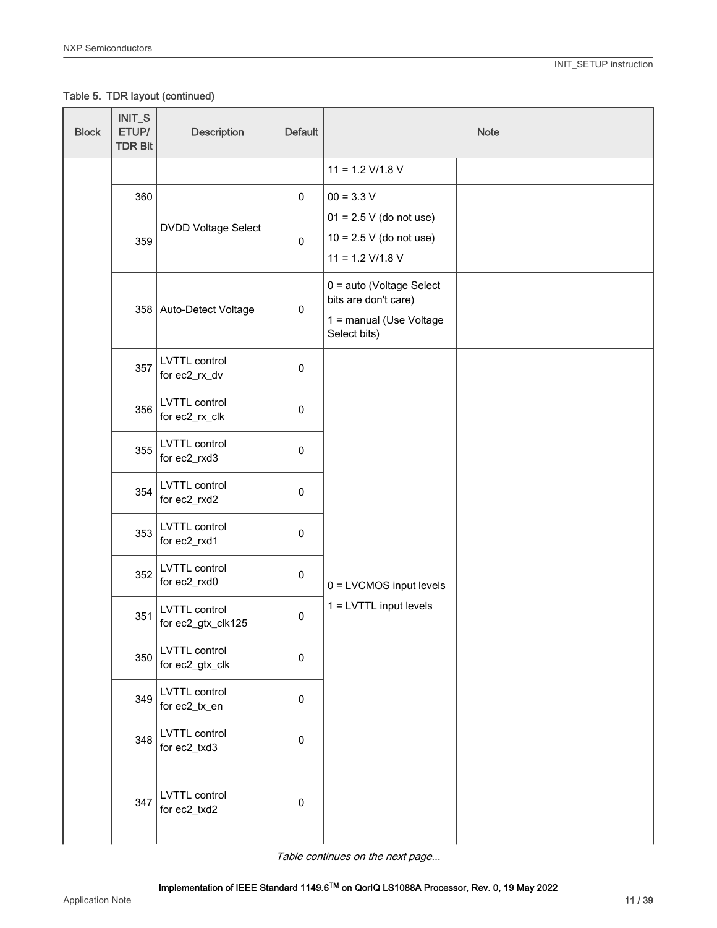Table 5. TDR layout (continued)

| <b>Block</b> | INIT_S<br>ETUP/<br><b>TDR Bit</b>                                                                                             | <b>Description</b>                    | <b>Default</b> |                                                                                             | <b>Note</b> |
|--------------|-------------------------------------------------------------------------------------------------------------------------------|---------------------------------------|----------------|---------------------------------------------------------------------------------------------|-------------|
|              |                                                                                                                               |                                       |                | $11 = 1.2$ V/1.8 V                                                                          |             |
|              | 360                                                                                                                           |                                       | $\pmb{0}$      | $00 = 3.3 V$                                                                                |             |
|              | 359                                                                                                                           | <b>DVDD Voltage Select</b>            | $\pmb{0}$      | $01 = 2.5 V$ (do not use)<br>$10 = 2.5 V$ (do not use)<br>$11 = 1.2$ V/1.8 V                |             |
|              |                                                                                                                               | 358 Auto-Detect Voltage               | 0              | 0 = auto (Voltage Select<br>bits are don't care)<br>1 = manual (Use Voltage<br>Select bits) |             |
|              | 357                                                                                                                           | <b>LVTTL</b> control<br>for ec2_rx_dv | $\pmb{0}$      |                                                                                             |             |
|              | <b>LVTTL</b> control<br>356<br>for ec2_rx_clk<br>LVTTL control<br>355<br>for ec2_rxd3<br>LVTTL control<br>354<br>for ec2_rxd2 | $\pmb{0}$                             |                |                                                                                             |             |
|              |                                                                                                                               | $\pmb{0}$                             |                |                                                                                             |             |
|              |                                                                                                                               | $\pmb{0}$                             |                |                                                                                             |             |
|              | 353                                                                                                                           | LVTTL control<br>for ec2_rxd1         | $\pmb{0}$      |                                                                                             |             |
|              | 352                                                                                                                           | LVTTL control<br>for ec2_rxd0         | $\pmb{0}$      | 0 = LVCMOS input levels                                                                     |             |
|              | 351                                                                                                                           | LVTTL control<br>for ec2_gtx_clk125   | $\pmb{0}$      | 1 = LVTTL input levels                                                                      |             |
|              | 350                                                                                                                           | LVTTL control<br>for ec2_gtx_clk      | $\mathbf 0$    |                                                                                             |             |
|              | LVTTL control<br>349<br>for ec2_tx_en<br>LVTTL control<br>348<br>for ec2_txd3                                                 | $\pmb{0}$                             |                |                                                                                             |             |
|              |                                                                                                                               | $\pmb{0}$                             |                |                                                                                             |             |
|              | 347                                                                                                                           | LVTTL control<br>for ec2_txd2         | $\pmb{0}$      |                                                                                             |             |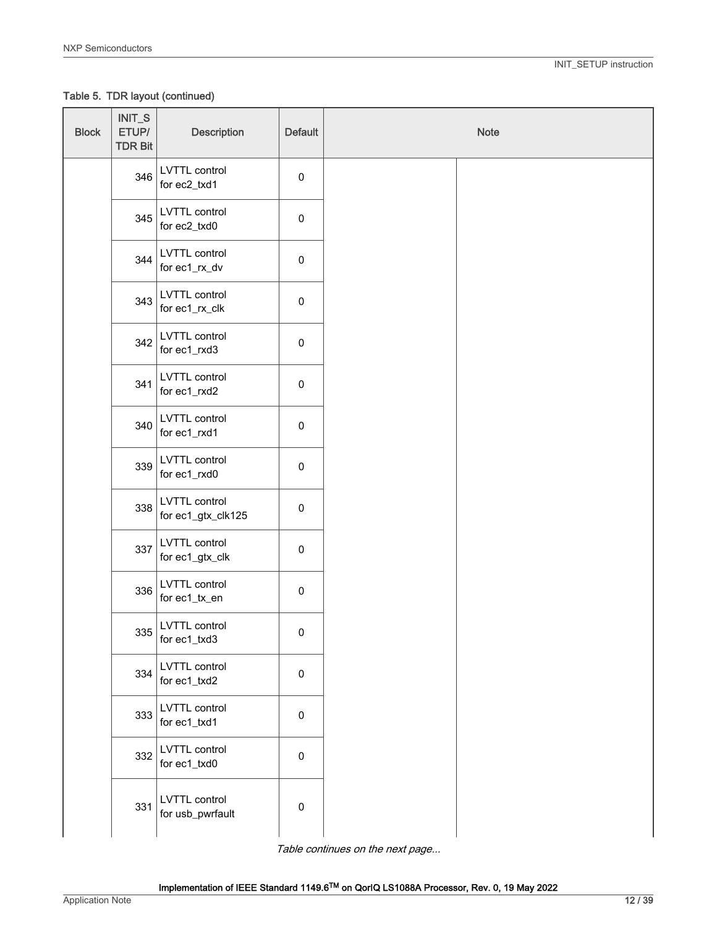Table 5. TDR layout (continued)

| <b>Block</b> | $INT_S$<br>ETUP/<br><b>TDR Bit</b> | <b>Description</b>                  | <b>Default</b>      | Note |
|--------------|------------------------------------|-------------------------------------|---------------------|------|
|              | 346                                | LVTTL control<br>for ec2_txd1       | $\pmb{0}$           |      |
|              | 345                                | LVTTL control<br>for ec2_txd0       | $\pmb{0}$           |      |
|              | 344                                | LVTTL control<br>for ec1_rx_dv      | $\pmb{0}$           |      |
|              | 343                                | LVTTL control<br>for ec1_rx_clk     | $\pmb{0}$           |      |
|              | 342                                | LVTTL control<br>for ec1_rxd3       | $\pmb{0}$           |      |
|              | 341                                | LVTTL control<br>for ec1_rxd2       | $\pmb{0}$           |      |
|              | 340                                | LVTTL control<br>for ec1_rxd1       | $\pmb{0}$           |      |
|              | 339                                | LVTTL control<br>for ec1_rxd0       | $\mathsf{O}\xspace$ |      |
|              | 338                                | LVTTL control<br>for ec1_gtx_clk125 | $\mathsf{O}\xspace$ |      |
|              | 337                                | LVTTL control<br>for ec1_gtx_clk    | $\pmb{0}$           |      |
|              | 336                                | LVTTL control<br>for ec1_tx_en      | $\pmb{0}$           |      |
|              | 335                                | LVTTL control<br>for ec1_txd3       | 0                   |      |
|              | 334                                | LVTTL control<br>for ec1_txd2       | $\pmb{0}$           |      |
|              | 333                                | LVTTL control<br>for ec1_txd1       | $\pmb{0}$           |      |
|              | 332                                | LVTTL control<br>for ec1_txd0       | $\pmb{0}$           |      |
|              | 331                                | LVTTL control<br>for usb_pwrfault   | $\pmb{0}$           |      |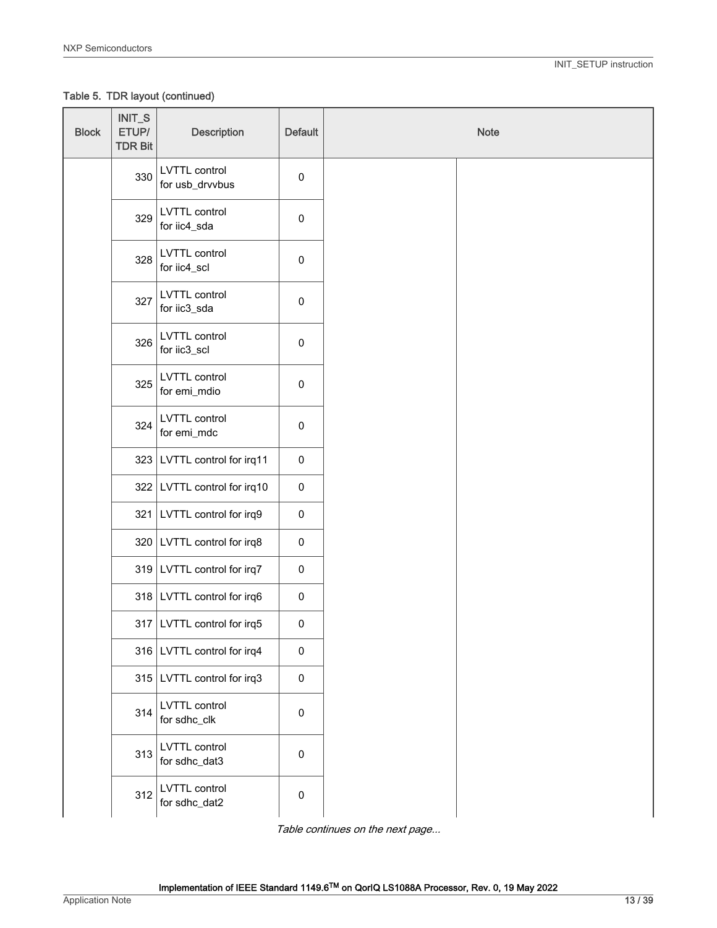Table 5. TDR layout (continued)

| <b>Block</b> | INIT_S<br>ETUP/<br><b>TDR Bit</b> | <b>Description</b>               | <b>Default</b> | <b>Note</b> |  |
|--------------|-----------------------------------|----------------------------------|----------------|-------------|--|
|              | 330                               | LVTTL control<br>for usb_drvvbus | $\pmb{0}$      |             |  |
|              | 329                               | LVTTL control<br>for iic4_sda    | $\pmb{0}$      |             |  |
|              | 328                               | LVTTL control<br>for iic4_scl    | $\pmb{0}$      |             |  |
|              | 327                               | LVTTL control<br>for iic3_sda    | $\pmb{0}$      |             |  |
|              | 326                               | LVTTL control<br>for iic3_scl    | $\pmb{0}$      |             |  |
|              | 325                               | LVTTL control<br>for emi_mdio    | $\pmb{0}$      |             |  |
|              | 324                               | LVTTL control<br>for emi_mdc     | $\pmb{0}$      |             |  |
|              | 323                               | LVTTL control for irq11          | $\pmb{0}$      |             |  |
|              | 322                               | LVTTL control for irq10          | $\pmb{0}$      |             |  |
|              | 321                               | LVTTL control for irq9           | $\pmb{0}$      |             |  |
|              |                                   | 320 LVTTL control for irq8       | $\pmb{0}$      |             |  |
|              |                                   | 319 LVTTL control for irq7       | $\pmb{0}$      |             |  |
|              |                                   | 318 LVTTL control for irq6       | $\pmb{0}$      |             |  |
|              |                                   | 317   LVTTL control for irq5     | $\pmb{0}$      |             |  |
|              |                                   | 316 LVTTL control for irq4       | $\pmb{0}$      |             |  |
|              | 315                               | LVTTL control for irq3           | $\pmb{0}$      |             |  |
|              | 314                               | LVTTL control<br>for sdhc_clk    | $\pmb{0}$      |             |  |
|              | 313                               | LVTTL control<br>for sdhc_dat3   | $\pmb{0}$      |             |  |
|              | 312                               | LVTTL control<br>for sdhc_dat2   | $\pmb{0}$      |             |  |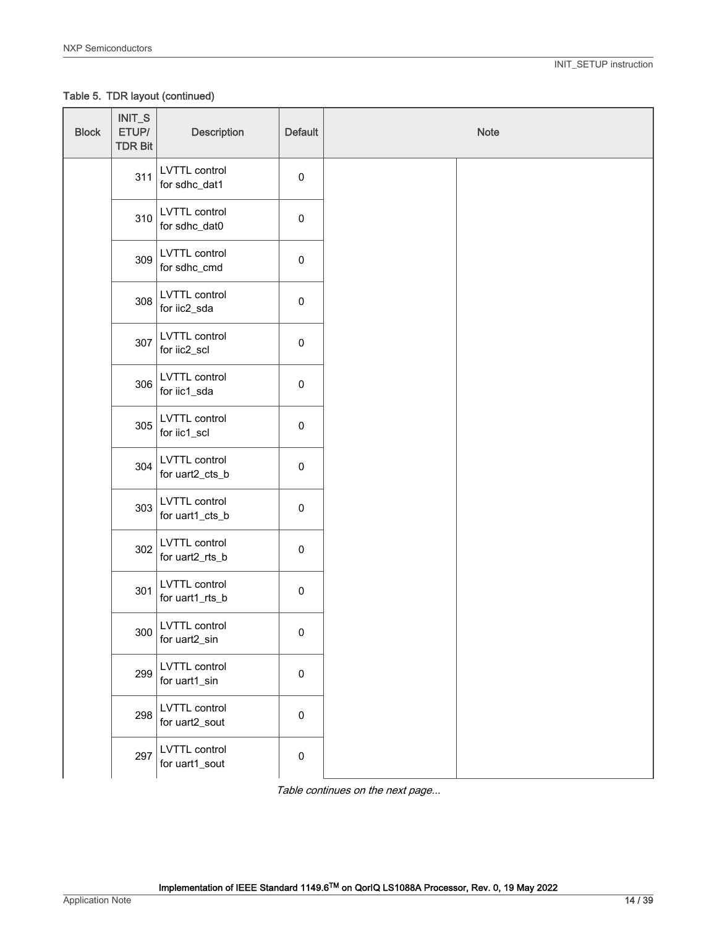Table 5. TDR layout (continued)

| <b>Block</b> | $INT_S$<br>ETUP/<br><b>TDR Bit</b> | <b>Description</b>                      | <b>Default</b>      | Note |  |
|--------------|------------------------------------|-----------------------------------------|---------------------|------|--|
|              | 311                                | LVTTL control<br>for sdhc_dat1          | $\mathsf{O}\xspace$ |      |  |
|              | 310                                | LVTTL control<br>for sdhc_dat0          | $\mathsf 0$         |      |  |
|              | 309                                | LVTTL control<br>for sdhc_cmd           | $\mathsf 0$         |      |  |
|              | 308                                | LVTTL control<br>for iic2_sda           | $\mathsf 0$         |      |  |
|              | 307                                | LVTTL control<br>for iic2_scl           | 0                   |      |  |
|              | 306                                | LVTTL control<br>for iic1_sda           | $\mathsf 0$         |      |  |
|              | 305                                | LVTTL control<br>for iic1_scl           | $\mathsf 0$         |      |  |
|              | 304                                | LVTTL control<br>for uart2_cts_b        | $\mathsf 0$         |      |  |
|              | 303                                | LVTTL control<br>for uart1_cts_b        | $\mathsf 0$         |      |  |
|              | 302                                | LVTTL control<br>for uart2_rts_b        | $\mathsf 0$         |      |  |
|              | 301                                | <b>LVTTL</b> control<br>for uart1_rts_b | $\mathsf 0$         |      |  |
|              |                                    | $300$ LVTTL control<br>for uart2_sin    | 0                   |      |  |
|              | 299                                | LVTTL control<br>for uart1_sin          | $\pmb{0}$           |      |  |
|              | 298                                | LVTTL control<br>for uart2_sout         | 0                   |      |  |
|              | 297                                | LVTTL control<br>for uart1_sout         | $\mathsf 0$         |      |  |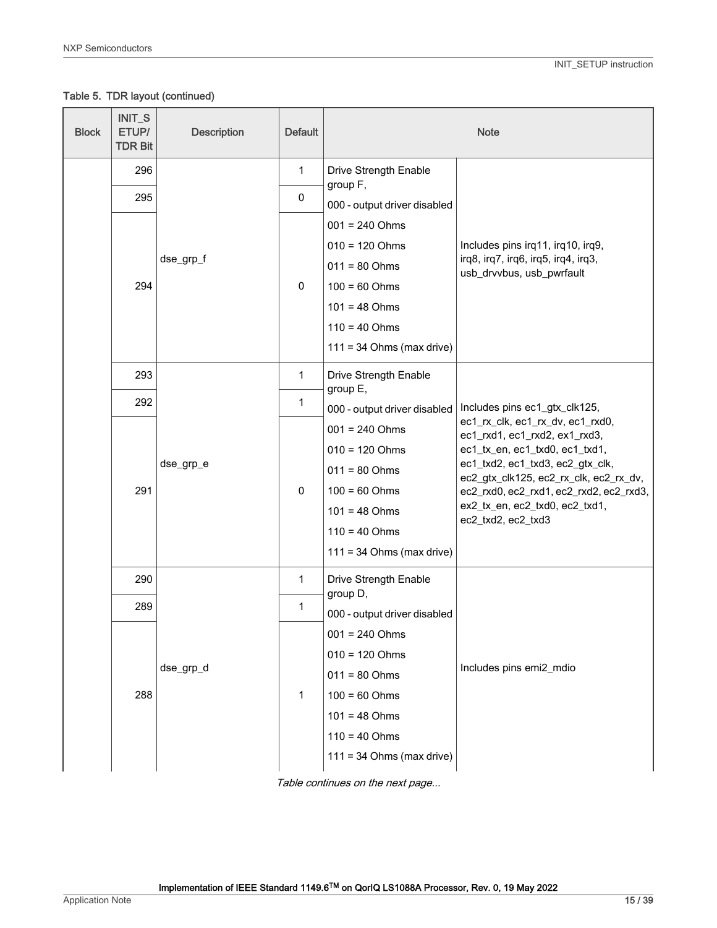Table 5. TDR layout (continued)

| <b>Block</b> | INIT_S<br>ETUP/<br><b>TDR Bit</b> | <b>Description</b> | <b>Default</b>        |                                      | <b>Note</b>                                                                       |
|--------------|-----------------------------------|--------------------|-----------------------|--------------------------------------|-----------------------------------------------------------------------------------|
|              | 296                               |                    | 1                     | Drive Strength Enable<br>group F,    |                                                                                   |
|              | 295                               |                    | 0                     | 000 - output driver disabled         |                                                                                   |
|              |                                   |                    |                       | $001 = 240$ Ohms                     |                                                                                   |
|              |                                   |                    |                       | $010 = 120$ Ohms                     | Includes pins irq11, irq10, irq9,                                                 |
|              |                                   | dse_grp_f          |                       | $011 = 80$ Ohms                      | irq8, irq7, irq6, irq5, irq4, irq3,<br>usb_drvvbus, usb_pwrfault                  |
|              | 294                               |                    | $\pmb{0}$             | $100 = 60$ Ohms                      |                                                                                   |
|              |                                   |                    |                       | $101 = 48$ Ohms                      |                                                                                   |
|              |                                   |                    |                       | $110 = 40$ Ohms                      |                                                                                   |
|              |                                   |                    |                       | $111 = 34$ Ohms (max drive)          |                                                                                   |
|              | 293                               | 1                  | Drive Strength Enable |                                      |                                                                                   |
|              | 292                               | dse_grp_e          | 1                     | group E,                             | Includes pins ec1_gtx_clk125,                                                     |
|              |                                   |                    |                       | 000 - output driver disabled         | ec1_rx_clk, ec1_rx_dv, ec1_rxd0,                                                  |
|              |                                   |                    | $\pmb{0}$             | $001 = 240$ Ohms<br>$010 = 120$ Ohms | ec1_rxd1, ec1_rxd2, ex1_rxd3,<br>ec1_tx_en, ec1_txd0, ec1_txd1,                   |
|              |                                   |                    |                       | $011 = 80$ Ohms                      | ec1_txd2, ec1_txd3, ec2_gtx_clk,                                                  |
|              | 291                               |                    |                       | $100 = 60$ Ohms                      | ec2_gtx_clk125, ec2_rx_clk, ec2_rx_dv,<br>ec2_rxd0, ec2_rxd1, ec2_rxd2, ec2_rxd3, |
|              |                                   |                    |                       | $101 = 48$ Ohms                      | ex2_tx_en, ec2_txd0, ec2_txd1,                                                    |
|              |                                   |                    |                       | $110 = 40$ Ohms                      | ec2_txd2, ec2_txd3                                                                |
|              |                                   |                    |                       | $111 = 34$ Ohms (max drive)          |                                                                                   |
|              | 290                               |                    | $\mathbf{1}$          | Drive Strength Enable                |                                                                                   |
|              | 289                               |                    | 1                     | group D,                             |                                                                                   |
|              |                                   |                    |                       | 000 - output driver disabled         |                                                                                   |
|              |                                   |                    |                       | $001 = 240$ Ohms<br>$010 = 120$ Ohms |                                                                                   |
|              |                                   | dse_grp_d          |                       | $011 = 80$ Ohms                      | Includes pins emi2_mdio                                                           |
|              | 288                               |                    | $\mathbf{1}$          | $100 = 60$ Ohms                      |                                                                                   |
|              |                                   |                    |                       | $101 = 48$ Ohms                      |                                                                                   |
|              |                                   |                    |                       | $110 = 40$ Ohms                      |                                                                                   |
|              |                                   |                    |                       | $111 = 34$ Ohms (max drive)          |                                                                                   |
|              |                                   |                    |                       |                                      |                                                                                   |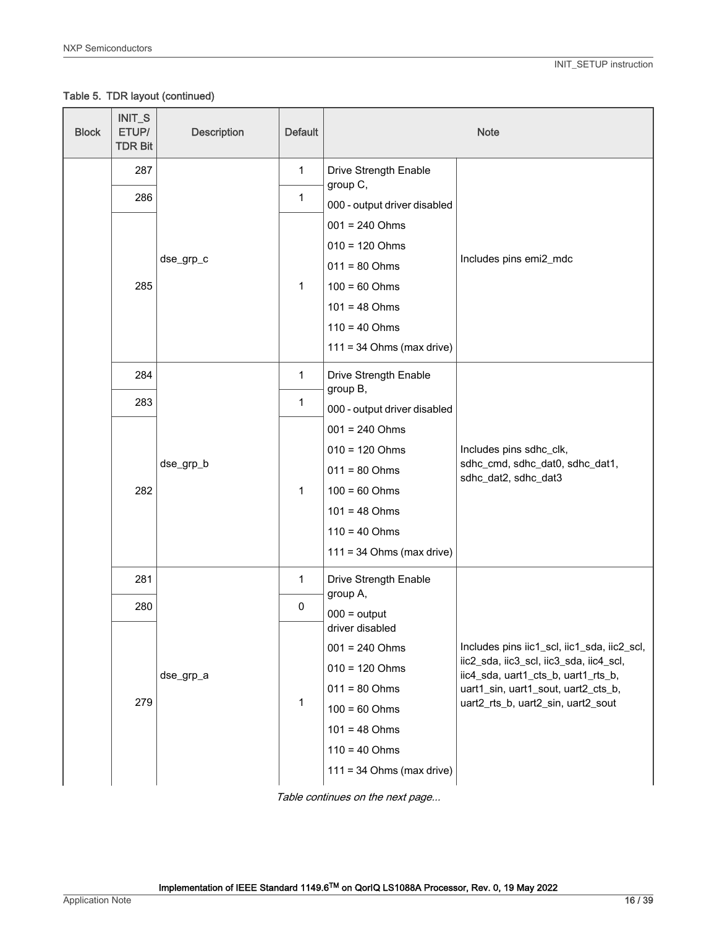Table 5. TDR layout (continued)

| <b>Block</b> | INIT_S<br>ETUP/<br><b>TDR Bit</b> | <b>Description</b> | <b>Default</b>   |                                          | <b>Note</b>                                                                    |
|--------------|-----------------------------------|--------------------|------------------|------------------------------------------|--------------------------------------------------------------------------------|
|              | 287                               |                    | 1                | Drive Strength Enable<br>group C,        |                                                                                |
|              | 286                               |                    | 1                | 000 - output driver disabled             |                                                                                |
|              |                                   |                    |                  | $001 = 240$ Ohms                         |                                                                                |
|              |                                   |                    |                  | $010 = 120$ Ohms                         |                                                                                |
|              |                                   | dse_grp_c          |                  | $011 = 80$ Ohms                          | Includes pins emi2_mdc                                                         |
|              | 285                               |                    | $\mathbf 1$      | $100 = 60$ Ohms                          |                                                                                |
|              |                                   |                    |                  | $101 = 48$ Ohms                          |                                                                                |
|              |                                   |                    |                  | $110 = 40$ Ohms                          |                                                                                |
|              |                                   |                    |                  | $111 = 34$ Ohms (max drive)              |                                                                                |
|              | 284                               |                    | 1                | Drive Strength Enable                    |                                                                                |
|              | 283                               |                    | 1                | group B,<br>000 - output driver disabled |                                                                                |
|              |                                   |                    |                  | $001 = 240$ Ohms                         |                                                                                |
|              |                                   |                    | $010 = 120$ Ohms | Includes pins sdhc_clk,                  |                                                                                |
|              |                                   | dse_grp_b          | 1                | $011 = 80$ Ohms                          | sdhc_cmd, sdhc_dat0, sdhc_dat1,<br>sdhc_dat2, sdhc_dat3                        |
|              | 282                               |                    |                  | $100 = 60$ Ohms                          |                                                                                |
|              |                                   |                    |                  | $101 = 48$ Ohms                          |                                                                                |
|              |                                   |                    |                  | $110 = 40$ Ohms                          |                                                                                |
|              |                                   |                    |                  | $111 = 34$ Ohms (max drive)              |                                                                                |
|              | 281                               |                    | 1                | Drive Strength Enable                    |                                                                                |
|              | 280                               |                    | 0                | group A,<br>$000 =$ output               |                                                                                |
|              |                                   |                    |                  | driver disabled                          |                                                                                |
|              |                                   |                    |                  | $001 = 240$ Ohms                         | Includes pins iic1_scl, iic1_sda, iic2_scl,                                    |
|              |                                   | dse_grp_a          |                  | $010 = 120$ Ohms                         | iic2_sda, iic3_scl, iic3_sda, iic4_scl,<br>iic4_sda, uart1_cts_b, uart1_rts_b, |
|              |                                   |                    |                  | $011 = 80$ Ohms                          | uart1_sin, uart1_sout, uart2_cts_b,                                            |
|              | 279                               |                    | 1                | $100 = 60$ Ohms                          | uart2_rts_b, uart2_sin, uart2_sout                                             |
|              |                                   |                    |                  | $101 = 48$ Ohms                          |                                                                                |
|              |                                   |                    |                  | $110 = 40$ Ohms                          |                                                                                |
|              |                                   |                    |                  | $111 = 34$ Ohms (max drive)              |                                                                                |

Table continues on the next page...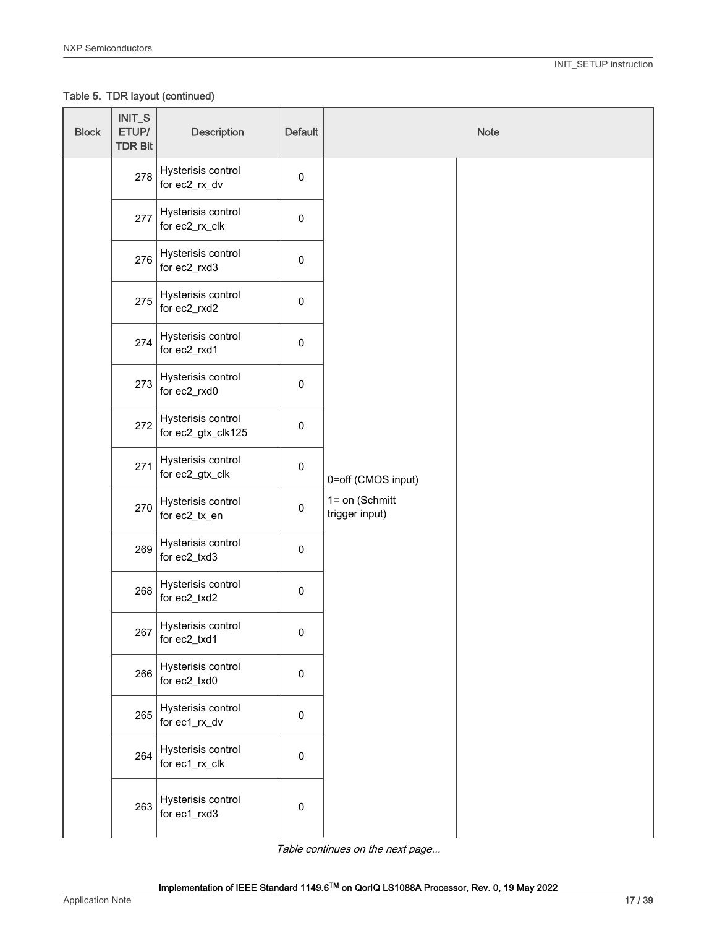Table 5. TDR layout (continued)

| <b>Block</b> | $INT_S$<br>ETUP/<br><b>TDR Bit</b> | <b>Description</b>                       | <b>Default</b>         |                                                                                    | <b>Note</b> |
|--------------|------------------------------------|------------------------------------------|------------------------|------------------------------------------------------------------------------------|-------------|
|              | 278                                | Hysterisis control<br>for ec2_rx_dv      | $\pmb{0}$              |                                                                                    |             |
|              | 277                                | Hysterisis control<br>for ec2_rx_clk     | $\pmb{0}$              |                                                                                    |             |
|              | 276                                | Hysterisis control<br>for ec2_rxd3       | $\pmb{0}$              |                                                                                    |             |
|              | 275                                | Hysterisis control<br>for ec2_rxd2       | $\pmb{0}$              |                                                                                    |             |
|              | 274                                | Hysterisis control<br>for ec2_rxd1       | $\pmb{0}$              |                                                                                    |             |
|              | 273                                | Hysterisis control<br>for ec2_rxd0       | $\pmb{0}$              |                                                                                    |             |
|              | 272                                | Hysterisis control<br>for ec2_gtx_clk125 | $\pmb{0}$              | $\mathbf 0$<br>0=off (CMOS input)<br>1= on (Schmitt<br>$\pmb{0}$<br>trigger input) |             |
|              | 271                                | Hysterisis control<br>for ec2_gtx_clk    |                        |                                                                                    |             |
|              | 270                                | Hysterisis control<br>for ec2_tx_en      |                        |                                                                                    |             |
|              | 269                                | Hysterisis control<br>for ec2_txd3       | $\pmb{0}$              |                                                                                    |             |
|              | 268                                | Hysterisis control<br>for ec2_txd2       | $\pmb{0}$              |                                                                                    |             |
|              | 267                                | Hysterisis control<br>for ec2_txd1       | 0                      |                                                                                    |             |
|              | 266                                | Hysterisis control<br>for ec2_txd0       | $\pmb{0}$<br>$\pmb{0}$ |                                                                                    |             |
|              | 265                                | Hysterisis control<br>for ec1_rx_dv      |                        |                                                                                    |             |
|              | 264                                | Hysterisis control<br>for ec1_rx_clk     | $\pmb{0}$              |                                                                                    |             |
|              | 263                                | Hysterisis control<br>for ec1_rxd3       | $\pmb{0}$              |                                                                                    |             |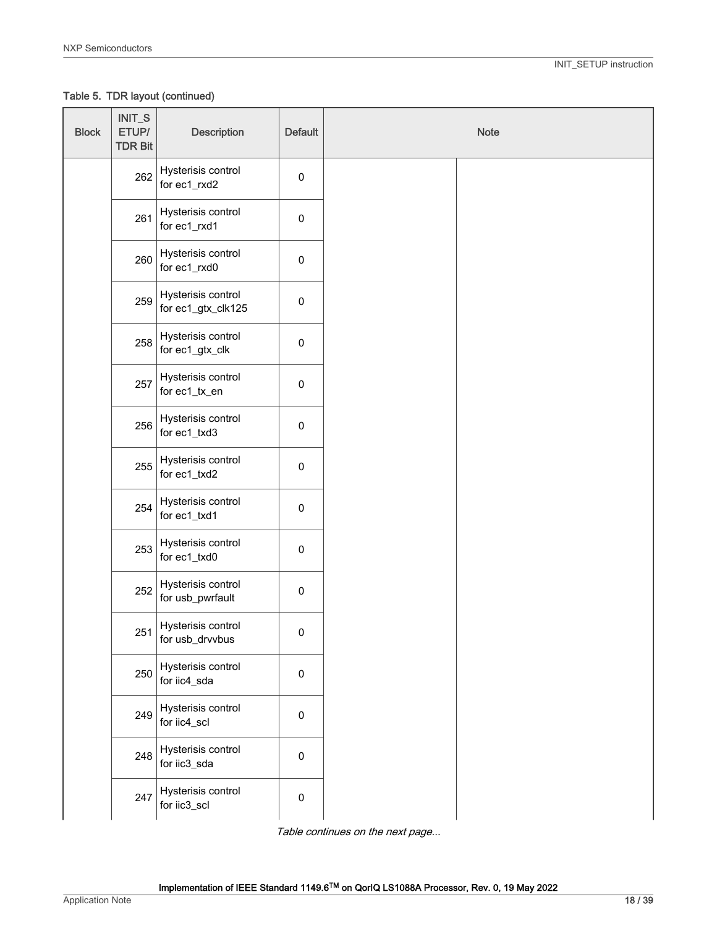Table 5. TDR layout (continued)

| <b>Block</b> | INIT_S<br>ETUP/<br><b>TDR Bit</b> | <b>Description</b>                       | Default     | Note |  |
|--------------|-----------------------------------|------------------------------------------|-------------|------|--|
|              | 262                               | Hysterisis control<br>for ec1_rxd2       | $\pmb{0}$   |      |  |
|              | 261                               | Hysterisis control<br>for ec1_rxd1       | $\mathbf 0$ |      |  |
|              | 260                               | Hysterisis control<br>for ec1_rxd0       | $\mathbf 0$ |      |  |
|              | 259                               | Hysterisis control<br>for ec1_gtx_clk125 | $\mathbf 0$ |      |  |
|              | 258                               | Hysterisis control<br>for ec1_gtx_clk    | $\pmb{0}$   |      |  |
|              | 257                               | Hysterisis control<br>for ec1_tx_en      | $\mathbf 0$ |      |  |
|              | 256                               | Hysterisis control<br>for ec1_txd3       | $\mathbf 0$ |      |  |
|              | 255                               | Hysterisis control<br>for ec1_txd2       | $\mathbf 0$ |      |  |
|              | 254                               | Hysterisis control<br>for ec1_txd1       | $\mathbf 0$ |      |  |
|              | 253                               | Hysterisis control<br>for ec1_txd0       | $\mathbf 0$ |      |  |
|              | 252                               | Hysterisis control<br>for usb_pwrfault   | $\mathbf 0$ |      |  |
|              | 251                               | Hysterisis control<br>for usb_drvvbus    | 0           |      |  |
|              | 250                               | Hysterisis control<br>for iic4_sda       | $\pmb{0}$   |      |  |
|              | 249                               | Hysterisis control<br>for iic4_scl       | $\pmb{0}$   |      |  |
|              | 248                               | Hysterisis control<br>for iic3_sda       | $\mathbf 0$ |      |  |
|              | 247                               | Hysterisis control<br>for iic3_scl       | $\pmb{0}$   |      |  |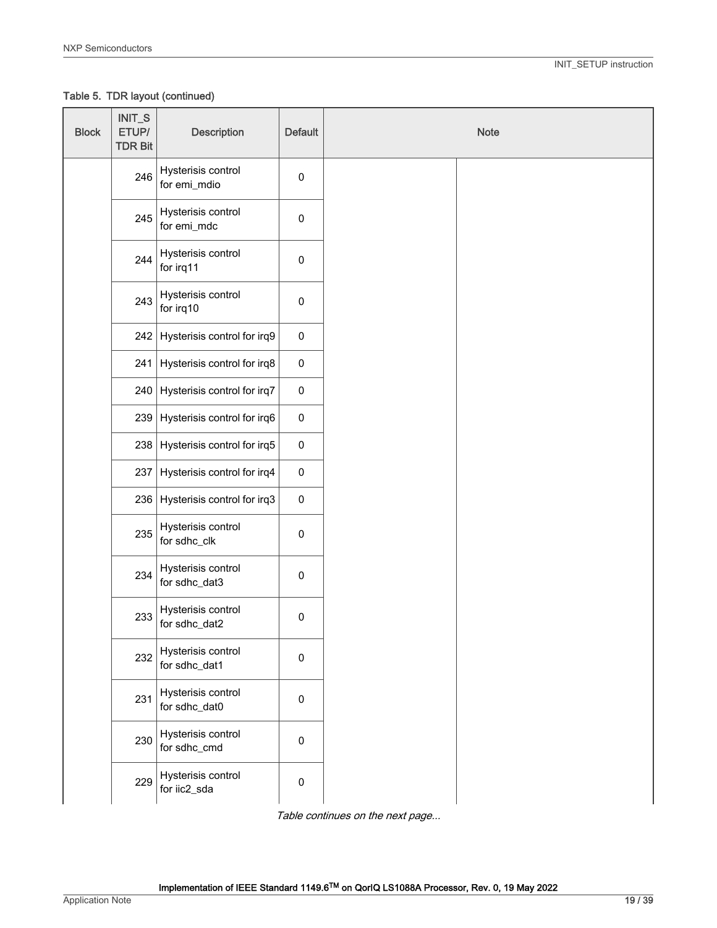Table 5. TDR layout (continued)

| <b>Block</b> | INIT_S<br>ETUP/<br><b>TDR Bit</b> | <b>Description</b>                  | <b>Default</b> | Note |
|--------------|-----------------------------------|-------------------------------------|----------------|------|
|              | 246                               | Hysterisis control<br>for emi_mdio  | $\pmb{0}$      |      |
|              | 245                               | Hysterisis control<br>for emi_mdc   | $\pmb{0}$      |      |
|              | 244                               | Hysterisis control<br>for irq11     | $\pmb{0}$      |      |
|              | 243                               | Hysterisis control<br>for irq10     | $\pmb{0}$      |      |
|              | 242                               | Hysterisis control for irq9         | $\pmb{0}$      |      |
|              | 241                               | Hysterisis control for irq8         | $\pmb{0}$      |      |
|              | 240                               | Hysterisis control for irq7         | $\pmb{0}$      |      |
|              | 239                               | Hysterisis control for irq6         | $\pmb{0}$      |      |
|              | 238                               | Hysterisis control for irq5         | $\pmb{0}$      |      |
|              | 237                               | Hysterisis control for irq4         | $\pmb{0}$      |      |
|              | 236                               | Hysterisis control for irq3         | $\pmb{0}$      |      |
|              | 235                               | Hysterisis control<br>for sdhc_clk  | $\mathbf 0$    |      |
|              | 234                               | Hysterisis control<br>for sdhc_dat3 | $\mathbf 0$    |      |
|              | 233                               | Hysterisis control<br>for sdhc_dat2 | $\pmb{0}$      |      |
|              | 232                               | Hysterisis control<br>for sdhc_dat1 | $\pmb{0}$      |      |
|              | 231                               | Hysterisis control<br>for sdhc_dat0 | $\pmb{0}$      |      |
|              | 230                               | Hysterisis control<br>for sdhc_cmd  | $\pmb{0}$      |      |
|              | 229                               | Hysterisis control<br>for iic2_sda  | $\pmb{0}$      |      |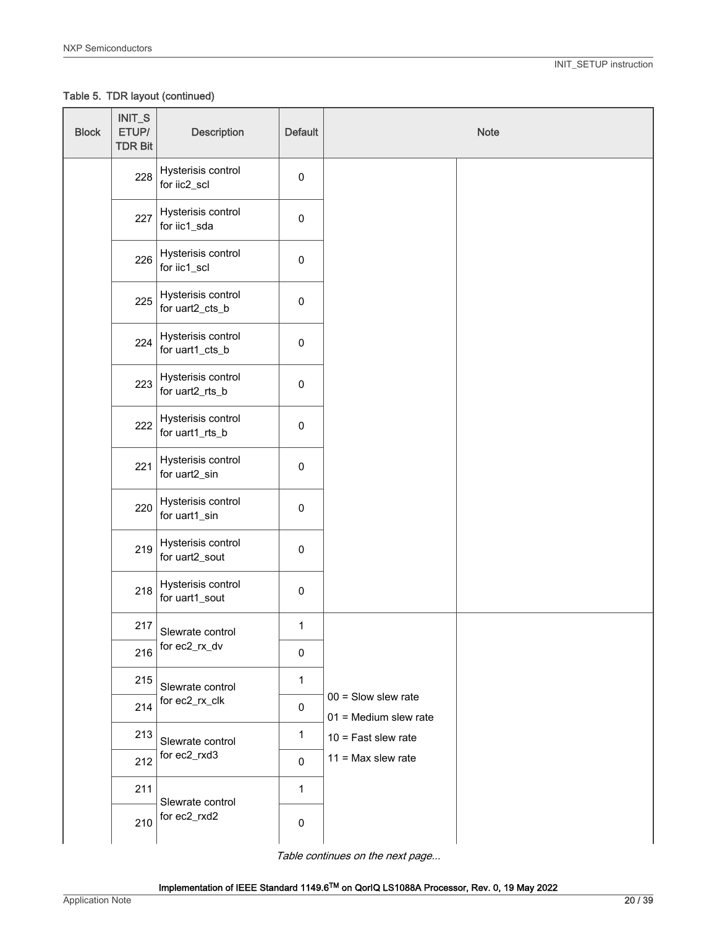Table 5. TDR layout (continued)

| <b>Block</b> | $INT_S$<br>ETUP/<br><b>TDR Bit</b>      | <b>Description</b>                    | Default      | <b>Note</b>                                    |
|--------------|-----------------------------------------|---------------------------------------|--------------|------------------------------------------------|
|              | 228                                     | Hysterisis control<br>for iic2_scl    | $\mathsf 0$  |                                                |
|              | 227                                     | Hysterisis control<br>for iic1_sda    | 0            |                                                |
|              | 226                                     | Hysterisis control<br>for iic1_scl    | 0            |                                                |
|              | 225                                     | Hysterisis control<br>for uart2_cts_b | 0            |                                                |
|              | 224                                     | Hysterisis control<br>for uart1_cts_b | 0            |                                                |
|              | 223                                     | Hysterisis control<br>for uart2_rts_b | 0            |                                                |
|              | 222                                     | Hysterisis control<br>for uart1_rts_b | 0            |                                                |
|              | 221                                     | Hysterisis control<br>for uart2_sin   | 0            |                                                |
|              | 220                                     | Hysterisis control<br>for uart1_sin   | $\pmb{0}$    |                                                |
|              | 219                                     | Hysterisis control<br>for uart2_sout  | 0            |                                                |
|              | 218                                     | Hysterisis control<br>for uart1_sout  | $\mathbf 0$  |                                                |
|              | 217                                     | Slewrate control                      | $\mathbf{1}$ |                                                |
|              | 216                                     | for ec2_rx_dv                         | $\pmb{0}$    |                                                |
|              | 215                                     | Slewrate control                      | 1            |                                                |
|              | 214                                     | for ec2_rx_clk                        | $\pmb{0}$    | $00 =$ Slow slew rate<br>01 = Medium slew rate |
|              | 213                                     | Slewrate control                      | $\mathbf{1}$ | $10 =$ Fast slew rate                          |
|              | 212                                     | for ec2_rxd3                          | 0            | $11 = Max$ slew rate                           |
|              | 211                                     |                                       | $\mathbf{1}$ |                                                |
|              | Slewrate control<br>for ec2_rxd2<br>210 | 0                                     |              |                                                |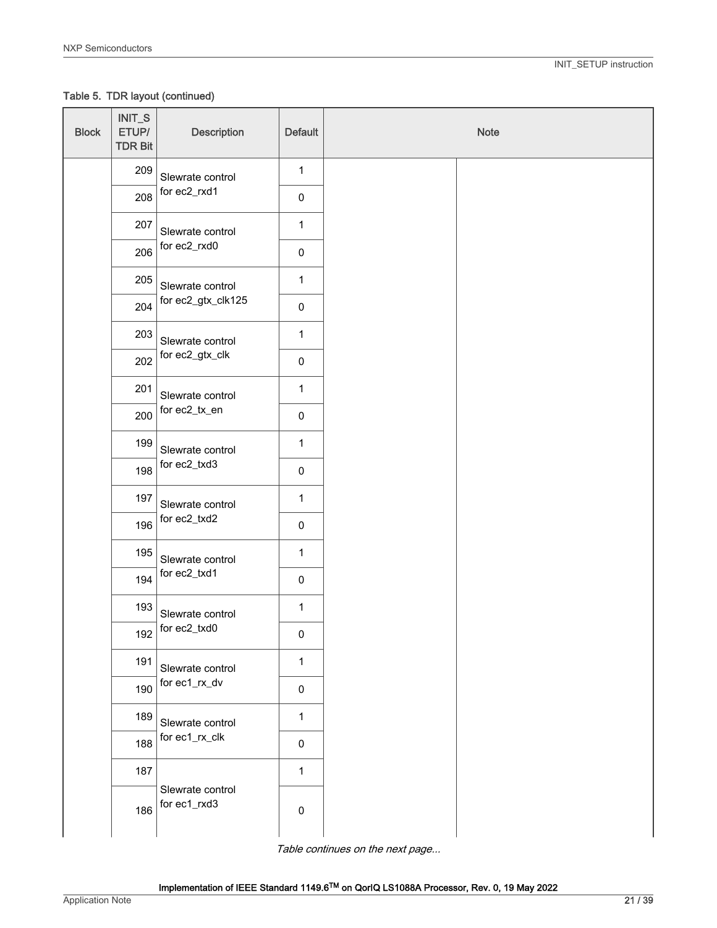Table 5. TDR layout (continued)

| <b>Block</b> | INIT_S<br>ETUP/<br><b>TDR Bit</b> | <b>Description</b>                                   | <b>Default</b> | Note |
|--------------|-----------------------------------|------------------------------------------------------|----------------|------|
|              | 209                               | Slewrate control                                     | $\mathbf{1}$   |      |
|              | 208                               | for ec2_rxd1                                         | $\pmb{0}$      |      |
|              | 207                               | Slewrate control                                     | $\mathbf{1}$   |      |
|              | 206                               | for ec2_rxd0                                         | $\pmb{0}$      |      |
|              | 205                               | Slewrate control                                     | $\mathbf 1$    |      |
|              | 204                               | for ec2_gtx_clk125                                   | $\pmb{0}$      |      |
|              | 203                               | Slewrate control                                     | $\mathbf{1}$   |      |
|              | 202                               | for ec2_gtx_clk                                      | $\pmb{0}$      |      |
|              | 201                               | Slewrate control                                     | $\mathbf{1}$   |      |
|              | 200                               | for ec2_tx_en                                        | $\pmb{0}$      |      |
|              | 199                               | Slewrate control<br>for ec2_txd3<br>Slewrate control | $\mathbf{1}$   |      |
|              | 198                               |                                                      | $\pmb{0}$      |      |
|              | 197                               |                                                      | $\mathbf 1$    |      |
|              | 196                               | for ec2_txd2                                         | $\pmb{0}$      |      |
|              | 195                               | Slewrate control                                     | $\mathbf{1}$   |      |
|              | 194                               | for ec2_txd1                                         | $\pmb{0}$      |      |
|              | 193                               | Slewrate control                                     | $\mathbf{1}$   |      |
|              | 192                               | for ec2_txd0                                         | $\pmb{0}$      |      |
|              | 191                               | Slewrate control                                     | $\mathbf{1}$   |      |
|              | 190                               | for ec1_rx_dv                                        | $\pmb{0}$      |      |
|              | 189                               | Slewrate control                                     | $\mathbf 1$    |      |
|              | for ec1_rx_clk<br>188             | $\pmb{0}$                                            |                |      |
|              | 187                               |                                                      | $\mathbf 1$    |      |
|              | 186                               | Slewrate control<br>for ec1_rxd3                     | $\pmb{0}$      |      |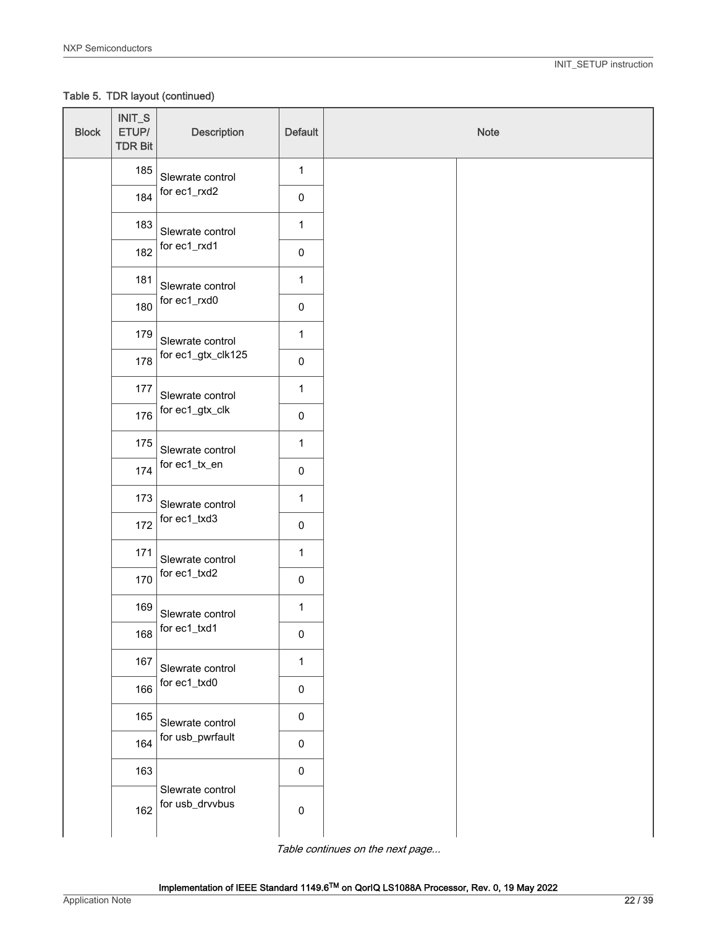Table 5. TDR layout (continued)

| <b>Block</b> | INIT_S<br>ETUP/<br><b>TDR Bit</b> | <b>Description</b>                                    | <b>Default</b> | Note |
|--------------|-----------------------------------|-------------------------------------------------------|----------------|------|
|              | 185                               | Slewrate control                                      | $\mathbf{1}$   |      |
|              | 184                               | for ec1_rxd2                                          | $\pmb{0}$      |      |
|              | 183                               | Slewrate control<br>for ec1_rxd1                      | $\mathbf{1}$   |      |
|              | 182                               |                                                       | $\pmb{0}$      |      |
|              | 181                               | Slewrate control                                      | $\mathbf 1$    |      |
|              | 180                               | for ec1_rxd0                                          | $\pmb{0}$      |      |
|              | 179                               | Slewrate control                                      | $\mathbf{1}$   |      |
|              | 178                               | for ec1_gtx_clk125                                    | $\pmb{0}$      |      |
|              | 177                               | Slewrate control                                      | $\mathbf{1}$   |      |
|              | 176                               | for ec1_gtx_clk                                       | $\pmb{0}$      |      |
|              | 175                               | Slewrate control<br>for ec1_tx_en<br>Slewrate control | $\mathbf{1}$   |      |
|              | 174                               |                                                       | $\pmb{0}$      |      |
|              | 173                               |                                                       | $\mathbf 1$    |      |
|              | 172                               | for ec1_txd3                                          | $\pmb{0}$      |      |
|              | 171                               | Slewrate control                                      | $\mathbf{1}$   |      |
|              | 170                               | for ec1_txd2                                          | $\pmb{0}$      |      |
|              | 169                               | Slewrate control                                      | $\mathbf{1}$   |      |
|              | 168                               | for ec1_txd1                                          | $\pmb{0}$      |      |
|              | 167                               | Slewrate control                                      | $\mathbf{1}$   |      |
|              | 166                               | for ec1_txd0                                          | $\pmb{0}$      |      |
|              | 165                               | Slewrate control                                      | $\pmb{0}$      |      |
|              | 164                               | for usb_pwrfault                                      | $\pmb{0}$      |      |
|              | 163                               |                                                       | $\pmb{0}$      |      |
|              | 162                               | Slewrate control<br>for usb_drvvbus                   | $\pmb{0}$      |      |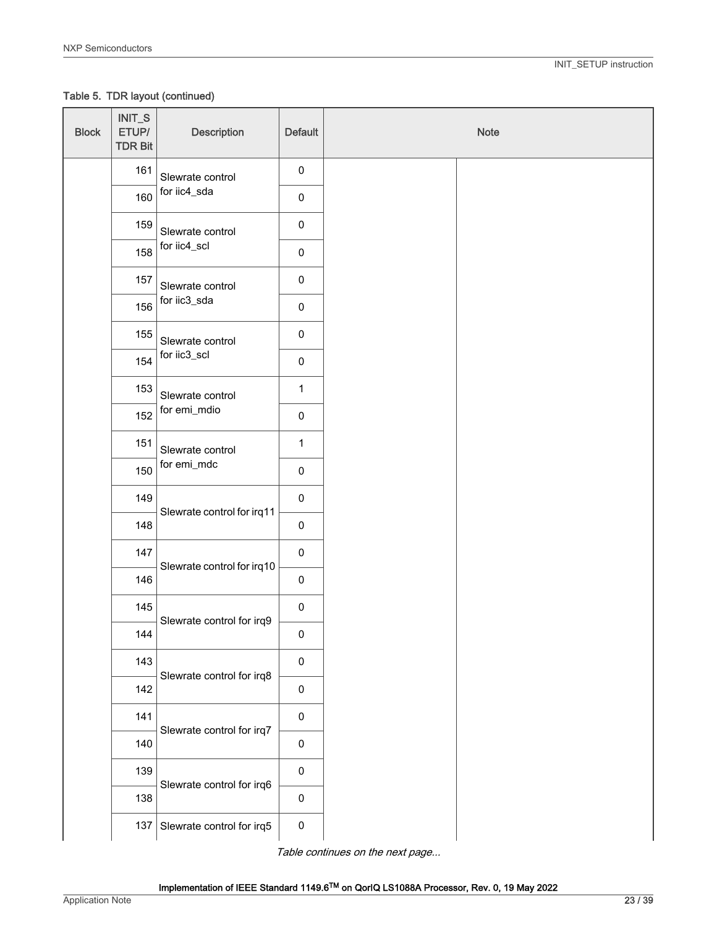Table 5. TDR layout (continued)

| <b>Block</b> | INIT_S<br>ETUP/<br><b>TDR Bit</b> | <b>Description</b>              | <b>Default</b> | Note |
|--------------|-----------------------------------|---------------------------------|----------------|------|
|              | 161                               | Slewrate control                | $\pmb{0}$      |      |
|              | 160                               | for iic4_sda                    | $\pmb{0}$      |      |
|              | 159                               | Slewrate control                | $\pmb{0}$      |      |
|              | 158                               | for iic4_scl                    | $\pmb{0}$      |      |
|              | 157                               | Slewrate control                | $\pmb{0}$      |      |
|              | 156                               | for iic3_sda                    | $\pmb{0}$      |      |
|              | 155                               | Slewrate control                | $\pmb{0}$      |      |
|              | 154                               | for iic3_scl                    | $\pmb{0}$      |      |
|              | 153                               | Slewrate control                | $\mathbf{1}$   |      |
|              | 152                               | for emi_mdio                    | $\pmb{0}$      |      |
|              | 151                               | Slewrate control<br>for emi_mdc | $\mathbf{1}$   |      |
|              | 150                               |                                 | $\pmb{0}$      |      |
|              | 149                               | Slewrate control for irq11      | $\pmb{0}$      |      |
|              | 148                               |                                 | $\pmb{0}$      |      |
|              | 147                               | Slewrate control for irq10      | $\pmb{0}$      |      |
|              | 146                               |                                 | $\pmb{0}$      |      |
|              | 145                               | Slewrate control for irq9       | $\pmb{0}$      |      |
|              | 144                               |                                 | $\pmb{0}$      |      |
|              | 143                               | Slewrate control for irq8       | $\pmb{0}$      |      |
|              | 142                               |                                 | $\pmb{0}$      |      |
|              | 141                               | Slewrate control for irq7       | $\pmb{0}$      |      |
|              | 140                               |                                 | $\pmb{0}$      |      |
|              | 139                               | Slewrate control for irq6       | $\pmb{0}$      |      |
|              | 138                               |                                 | $\pmb{0}$      |      |
|              | 137                               | Slewrate control for irq5       | $\pmb{0}$      |      |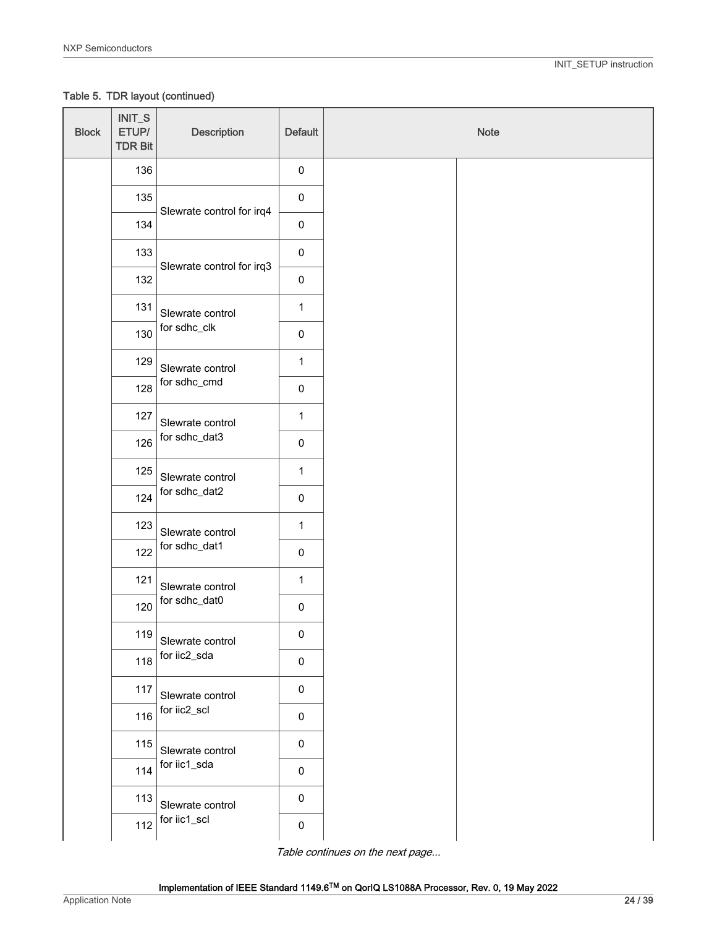Table 5. TDR layout (continued)

| <b>Block</b> | $INT_S$<br>ETUP/<br><b>TDR Bit</b> | <b>Description</b>        | Default             | Note |
|--------------|------------------------------------|---------------------------|---------------------|------|
|              | 136                                |                           | $\mathsf{O}\xspace$ |      |
|              | 135                                | Slewrate control for irq4 | $\pmb{0}$           |      |
|              | 134                                |                           | $\pmb{0}$           |      |
|              | 133                                | Slewrate control for irq3 | $\pmb{0}$           |      |
|              | 132                                |                           | $\pmb{0}$           |      |
|              | 131                                | Slewrate control          | $\mathbf{1}$        |      |
|              | 130                                | for sdhc_clk              | $\pmb{0}$           |      |
|              | 129                                | Slewrate control          | $\mathbf{1}$        |      |
|              | 128                                | for sdhc_cmd              | $\pmb{0}$           |      |
|              | 127<br>Slewrate control            | $\mathbf{1}$              |                     |      |
|              | 126                                | for sdhc_dat3             | $\pmb{0}$           |      |
|              | 125                                | Slewrate control          | $\mathbf{1}$        |      |
|              | 124                                | for sdhc_dat2             | $\pmb{0}$           |      |
|              | 123                                | Slewrate control          | $\mathbf{1}$        |      |
|              | 122                                | for sdhc_dat1             | $\pmb{0}$           |      |
|              | 121                                | Slewrate control          | $\mathbf{1}$        |      |
|              | 120                                | for sdhc_dat0             | $\pmb{0}$           |      |
|              | 119                                | Slewrate control          | $\pmb{0}$           |      |
|              | 118                                | for iic2_sda              | $\pmb{0}$           |      |
|              | 117<br>Slewrate control            | $\pmb{0}$                 |                     |      |
|              | 116                                | for iic2_scl              | $\pmb{0}$           |      |
|              | 115                                | Slewrate control          | $\pmb{0}$           |      |
|              | 114                                | for iic1_sda              | $\pmb{0}$           |      |
|              | 113                                | Slewrate control          | $\pmb{0}$           |      |
|              | 112                                | for iic1_scl              | $\pmb{0}$           |      |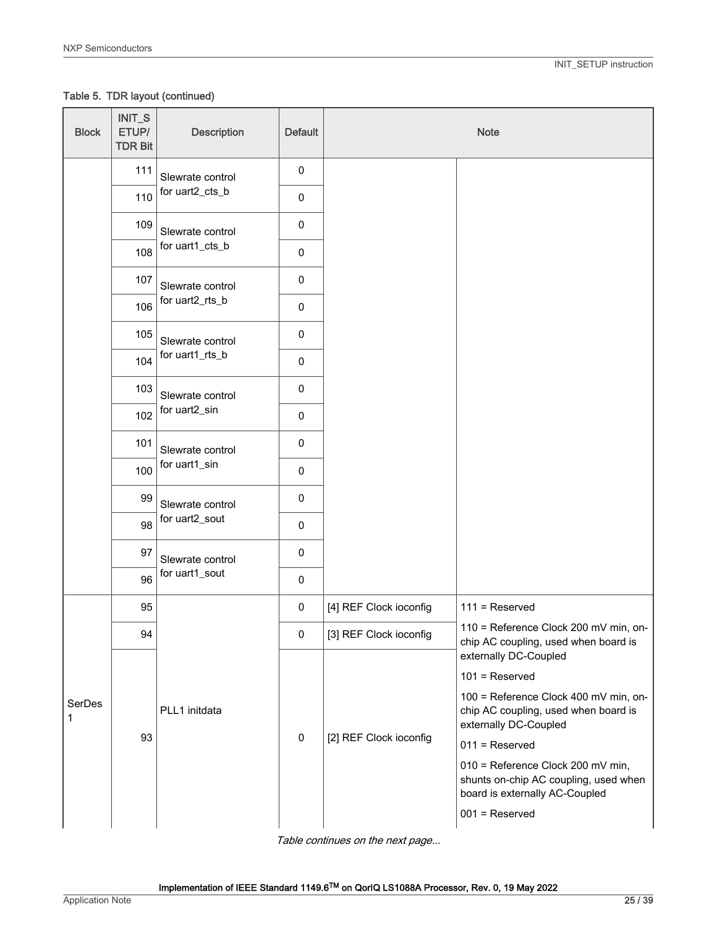Table 5. TDR layout (continued)

| <b>Block</b> | INIT_S<br>ETUP/<br><b>TDR Bit</b> | <b>Description</b>                 | <b>Default</b> |                        | <b>Note</b>                                                                                                  |
|--------------|-----------------------------------|------------------------------------|----------------|------------------------|--------------------------------------------------------------------------------------------------------------|
|              | 111                               | Slewrate control                   | $\pmb{0}$      |                        |                                                                                                              |
|              | 110                               | for uart2_cts_b                    | 0              |                        |                                                                                                              |
|              | 109                               | Slewrate control                   | $\pmb{0}$      |                        |                                                                                                              |
|              | 108                               | for uart1_cts_b                    | $\pmb{0}$      |                        |                                                                                                              |
|              | 107                               | Slewrate control                   | $\pmb{0}$      |                        |                                                                                                              |
|              | 106                               | for uart2_rts_b                    | $\pmb{0}$      |                        |                                                                                                              |
|              | 105                               | Slewrate control                   | $\mathbf 0$    |                        |                                                                                                              |
|              | 104                               | for uart1_rts_b                    | $\pmb{0}$      |                        |                                                                                                              |
|              | 103                               | Slewrate control<br>for uart2_sin  | $\mathbf 0$    |                        |                                                                                                              |
|              | 102                               |                                    | $\pmb{0}$      |                        |                                                                                                              |
|              | 101                               | Slewrate control<br>for uart1_sin  | $\pmb{0}$      |                        |                                                                                                              |
|              | 100                               |                                    | $\pmb{0}$      |                        |                                                                                                              |
|              | 99                                | Slewrate control<br>for uart2_sout | $\pmb{0}$      |                        |                                                                                                              |
|              | 98                                |                                    | $\pmb{0}$      |                        |                                                                                                              |
|              | 97                                | Slewrate control                   | $\mathbf 0$    |                        |                                                                                                              |
|              | 96                                | for uart1_sout                     | $\mathbf 0$    |                        |                                                                                                              |
|              | 95                                |                                    | $\pmb{0}$      | [4] REF Clock ioconfig | $111 =$ Reserved                                                                                             |
|              | 94                                |                                    | 0              | [3] REF Clock ioconfig | 110 = Reference Clock 200 mV min, on-<br>chip AC coupling, used when board is                                |
|              |                                   |                                    |                |                        | externally DC-Coupled<br>$101$ = Reserved                                                                    |
|              |                                   |                                    |                |                        | 100 = Reference Clock 400 mV min, on-                                                                        |
| SerDes<br>1  |                                   | PLL1 initdata                      |                |                        | chip AC coupling, used when board is<br>externally DC-Coupled                                                |
|              | 93                                |                                    | 0              | [2] REF Clock ioconfig | $011$ = Reserved                                                                                             |
|              |                                   |                                    |                |                        | 010 = Reference Clock 200 mV min,<br>shunts on-chip AC coupling, used when<br>board is externally AC-Coupled |
|              |                                   |                                    |                |                        | $001$ = Reserved                                                                                             |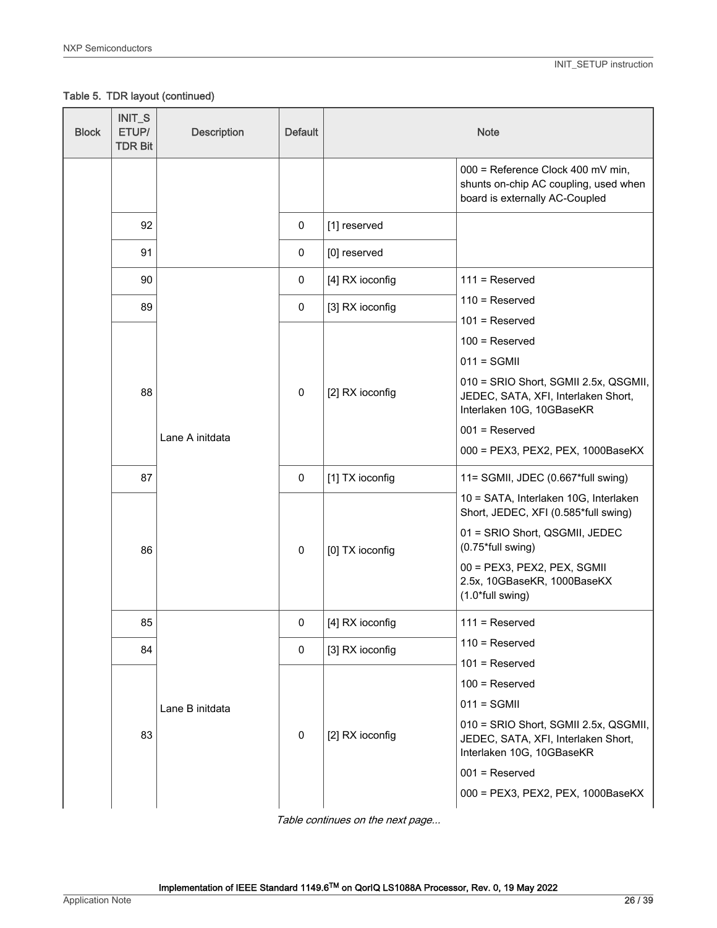Table 5. TDR layout (continued)

| <b>Block</b> | INIT_S<br>ETUP/<br><b>TDR Bit</b> | <b>Description</b> | <b>Default</b> |                 | <b>Note</b>                                                                                                  |
|--------------|-----------------------------------|--------------------|----------------|-----------------|--------------------------------------------------------------------------------------------------------------|
|              |                                   |                    |                |                 | 000 = Reference Clock 400 mV min,<br>shunts on-chip AC coupling, used when<br>board is externally AC-Coupled |
|              | 92                                |                    | 0              | [1] reserved    |                                                                                                              |
|              | 91                                |                    | 0              | [0] reserved    |                                                                                                              |
|              | 90                                |                    | 0              | [4] RX ioconfig | $111 =$ Reserved                                                                                             |
|              | 89                                |                    | 0              | [3] RX ioconfig | $110$ = Reserved                                                                                             |
|              |                                   |                    |                |                 | $101$ = Reserved                                                                                             |
|              |                                   |                    |                |                 | $100$ = Reserved                                                                                             |
|              |                                   |                    |                |                 | $011 = SGMII$                                                                                                |
|              | 88                                |                    | 0              | [2] RX ioconfig | 010 = SRIO Short, SGMII 2.5x, QSGMII,<br>JEDEC, SATA, XFI, Interlaken Short,<br>Interlaken 10G, 10GBaseKR    |
|              |                                   | Lane A initdata    |                |                 | $001$ = Reserved                                                                                             |
|              |                                   |                    |                |                 | 000 = PEX3, PEX2, PEX, 1000BaseKX                                                                            |
|              | 87                                |                    | 0              | [1] TX ioconfig | 11= SGMII, JDEC (0.667*full swing)                                                                           |
|              |                                   |                    | $\mathbf 0$    | [0] TX ioconfig | 10 = SATA, Interlaken 10G, Interlaken<br>Short, JEDEC, XFI (0.585*full swing)                                |
|              | 86                                |                    |                |                 | 01 = SRIO Short, QSGMII, JEDEC<br>(0.75*full swing)                                                          |
|              |                                   |                    |                |                 | 00 = PEX3, PEX2, PEX, SGMII<br>2.5x, 10GBaseKR, 1000BaseKX<br>(1.0*full swing)                               |
|              | 85                                |                    | 0              | [4] RX ioconfig | $111 =$ Reserved                                                                                             |
|              | 84                                |                    | 0              | [3] RX ioconfig | $110$ = Reserved                                                                                             |
|              |                                   |                    |                |                 | $101$ = Reserved                                                                                             |
|              |                                   |                    |                |                 | $100$ = Reserved                                                                                             |
|              |                                   | Lane B initdata    |                |                 | $011 = SGMII$                                                                                                |
|              | 83                                |                    | $\pmb{0}$      | [2] RX ioconfig | 010 = SRIO Short, SGMII 2.5x, QSGMII,<br>JEDEC, SATA, XFI, Interlaken Short,<br>Interlaken 10G, 10GBaseKR    |
|              |                                   |                    |                |                 | $001$ = Reserved                                                                                             |
|              |                                   |                    |                |                 | 000 = PEX3, PEX2, PEX, 1000BaseKX                                                                            |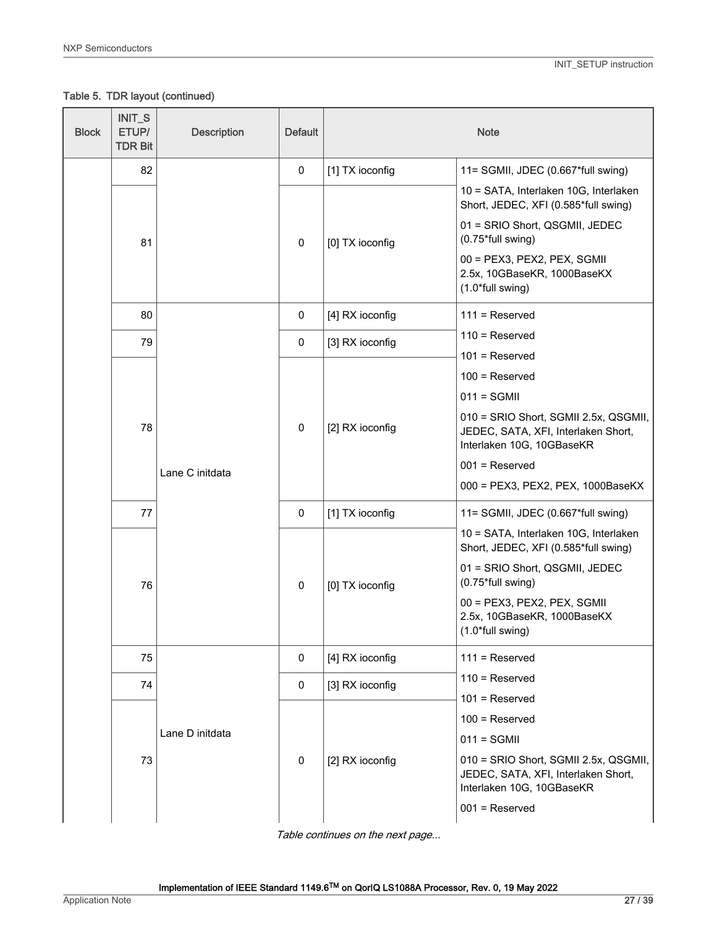$\top$ 

'n

Table 5. TDR layout (continued)

| <b>Block</b> | <b>INIT_S</b><br>ETUP/<br><b>TDR Bit</b> | <b>Description</b> | <b>Default</b>  |                                                                                                           | <b>Note</b>                                                                                                                   |
|--------------|------------------------------------------|--------------------|-----------------|-----------------------------------------------------------------------------------------------------------|-------------------------------------------------------------------------------------------------------------------------------|
|              | 82                                       |                    | 0               | [1] TX ioconfig                                                                                           | 11= SGMII, JDEC (0.667*full swing)                                                                                            |
|              |                                          |                    |                 |                                                                                                           | 10 = SATA, Interlaken 10G, Interlaken<br>Short, JEDEC, XFI (0.585*full swing)                                                 |
|              | 81                                       |                    | $\pmb{0}$       | [0] TX ioconfig                                                                                           | 01 = SRIO Short, QSGMII, JEDEC<br>(0.75*full swing)                                                                           |
|              |                                          |                    |                 |                                                                                                           | 00 = PEX3, PEX2, PEX, SGMII<br>2.5x, 10GBaseKR, 1000BaseKX<br>(1.0*full swing)                                                |
|              | 80                                       |                    | $\mathbf 0$     | [4] RX ioconfig                                                                                           | $111$ = Reserved                                                                                                              |
|              | 79                                       |                    | 0               | [3] RX ioconfig                                                                                           | $110$ = Reserved                                                                                                              |
|              |                                          |                    |                 |                                                                                                           | $101$ = Reserved<br>$100$ = Reserved                                                                                          |
|              |                                          |                    |                 |                                                                                                           | $011 = SGMI$                                                                                                                  |
|              | 78<br>Lane C initdata                    | $\pmb{0}$          | [2] RX ioconfig | 010 = SRIO Short, SGMII 2.5x, QSGMII,<br>JEDEC, SATA, XFI, Interlaken Short,<br>Interlaken 10G, 10GBaseKR |                                                                                                                               |
|              |                                          |                    |                 |                                                                                                           | $001$ = Reserved                                                                                                              |
|              |                                          |                    |                 |                                                                                                           | 000 = PEX3, PEX2, PEX, 1000BaseKX                                                                                             |
|              | 77                                       |                    | $\mathbf 0$     | [1] TX ioconfig                                                                                           | 11= SGMII, JDEC (0.667*full swing)                                                                                            |
|              |                                          |                    |                 |                                                                                                           | 10 = SATA, Interlaken 10G, Interlaken<br>Short, JEDEC, XFI (0.585*full swing)                                                 |
|              | 76                                       |                    | $\pmb{0}$       | [0] TX ioconfig                                                                                           | 01 = SRIO Short, QSGMII, JEDEC<br>(0.75*full swing)                                                                           |
|              |                                          |                    |                 |                                                                                                           | 00 = PEX3, PEX2, PEX, SGMII<br>2.5x, 10GBaseKR, 1000BaseKX<br>(1.0*full swing)                                                |
|              | 75                                       |                    | 0               | [4] RX ioconfig                                                                                           | $111 =$ Reserved                                                                                                              |
|              | 74                                       |                    | 0               | [3] RX ioconfig                                                                                           | $110$ = Reserved                                                                                                              |
|              |                                          |                    |                 |                                                                                                           | $101$ = Reserved                                                                                                              |
|              |                                          | Lane D initdata    |                 |                                                                                                           | $100$ = Reserved<br>$011 = SGMII$                                                                                             |
|              | 73                                       |                    | $\mathbf 0$     | [2] RX ioconfig                                                                                           | 010 = SRIO Short, SGMII 2.5x, QSGMII,<br>JEDEC, SATA, XFI, Interlaken Short,<br>Interlaken 10G, 10GBaseKR<br>$001$ = Reserved |
|              |                                          |                    |                 |                                                                                                           |                                                                                                                               |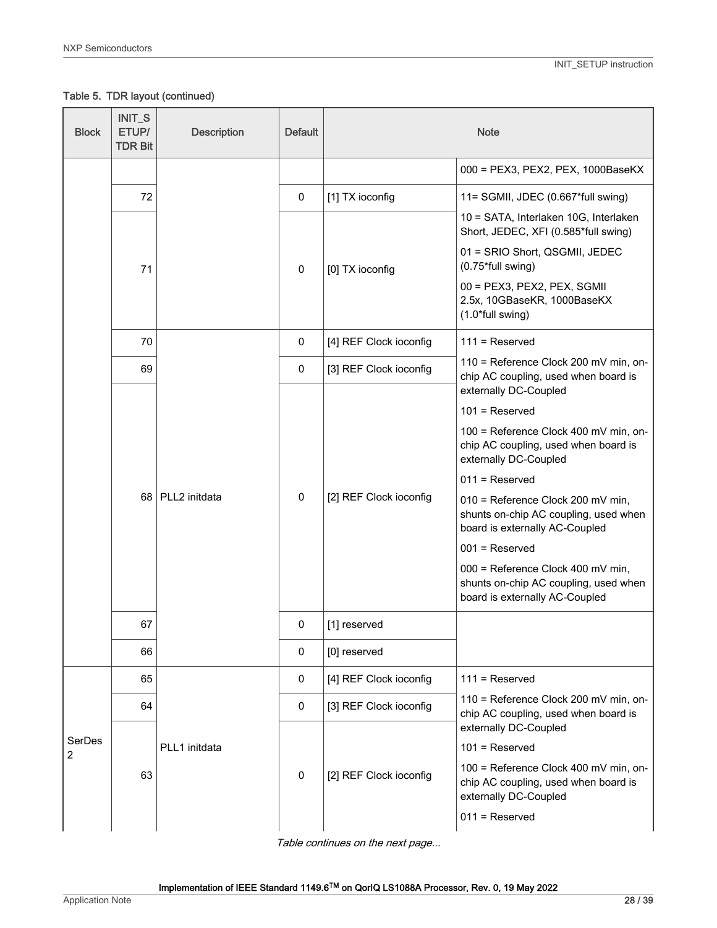Table 5. TDR layout (continued)

| <b>Block</b> | INIT_S<br>ETUP/<br><b>TDR Bit</b> | <b>Description</b> | <b>Default</b> |                        | <b>Note</b>                                                                                                                |
|--------------|-----------------------------------|--------------------|----------------|------------------------|----------------------------------------------------------------------------------------------------------------------------|
|              |                                   |                    |                |                        | 000 = PEX3, PEX2, PEX, 1000BaseKX                                                                                          |
|              | 72                                |                    | 0              | [1] TX ioconfig        | 11= SGMII, JDEC (0.667*full swing)                                                                                         |
|              |                                   |                    |                |                        | 10 = SATA, Interlaken 10G, Interlaken<br>Short, JEDEC, XFI (0.585*full swing)                                              |
|              | 71                                |                    | 0              | [0] TX ioconfig        | 01 = SRIO Short, QSGMII, JEDEC<br>(0.75*full swing)                                                                        |
|              |                                   |                    |                |                        | 00 = PEX3, PEX2, PEX, SGMII<br>2.5x, 10GBaseKR, 1000BaseKX<br>(1.0*full swing)                                             |
|              | 70                                |                    | 0              | [4] REF Clock ioconfig | $111 =$ Reserved                                                                                                           |
|              | 69                                |                    | 0              | [3] REF Clock ioconfig | 110 = Reference Clock 200 mV min, on-<br>chip AC coupling, used when board is<br>externally DC-Coupled                     |
|              |                                   | 68   PLL2 initdata |                | [2] REF Clock ioconfig | $101$ = Reserved                                                                                                           |
|              |                                   |                    | 0              |                        | 100 = Reference Clock 400 mV min, on-<br>chip AC coupling, used when board is<br>externally DC-Coupled                     |
|              |                                   |                    |                |                        | $011$ = Reserved                                                                                                           |
|              |                                   |                    |                |                        | 010 = Reference Clock 200 mV min,<br>shunts on-chip AC coupling, used when<br>board is externally AC-Coupled               |
|              |                                   |                    |                |                        | $001$ = Reserved                                                                                                           |
|              |                                   |                    |                |                        | 000 = Reference Clock 400 mV min,<br>shunts on-chip AC coupling, used when<br>board is externally AC-Coupled               |
|              | 67                                |                    | 0              | [1] reserved           |                                                                                                                            |
|              | 66                                |                    | 0              | [0] reserved           |                                                                                                                            |
|              | 65                                |                    | 0              | [4] REF Clock ioconfig | $111 =$ Reserved                                                                                                           |
|              | 64                                |                    | 0              | [3] REF Clock ioconfig | 110 = Reference Clock 200 mV min, on-<br>chip AC coupling, used when board is                                              |
| SerDes       |                                   |                    |                |                        | externally DC-Coupled<br>$101$ = Reserved                                                                                  |
| 2            | 63                                | PLL1 initdata      | 0              | [2] REF Clock ioconfig | 100 = Reference Clock 400 mV min, on-<br>chip AC coupling, used when board is<br>externally DC-Coupled<br>$011$ = Reserved |
|              |                                   |                    |                |                        |                                                                                                                            |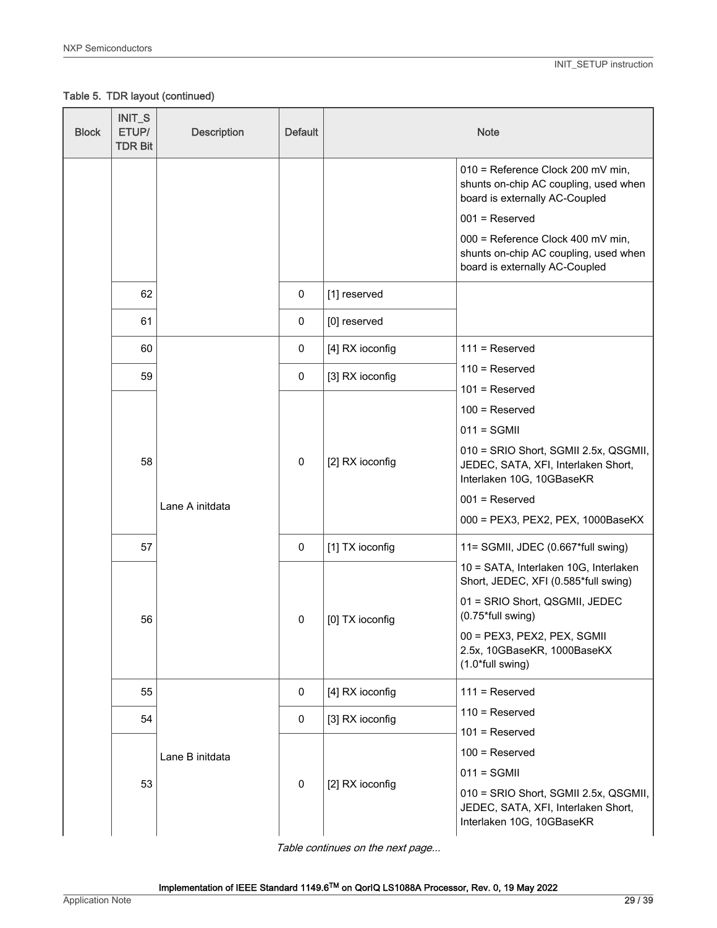Table 5. TDR layout (continued)

| <b>Block</b> | INIT_S<br>ETUP/<br><b>TDR Bit</b> | <b>Description</b> | <b>Default</b> |                 | <b>Note</b>                                                                                                                                                        |
|--------------|-----------------------------------|--------------------|----------------|-----------------|--------------------------------------------------------------------------------------------------------------------------------------------------------------------|
|              |                                   |                    |                |                 | 010 = Reference Clock 200 mV min,<br>shunts on-chip AC coupling, used when<br>board is externally AC-Coupled                                                       |
|              |                                   |                    |                |                 | $001$ = Reserved                                                                                                                                                   |
|              |                                   |                    |                |                 | 000 = Reference Clock 400 mV min,<br>shunts on-chip AC coupling, used when<br>board is externally AC-Coupled                                                       |
|              | 62                                |                    | 0              | [1] reserved    |                                                                                                                                                                    |
|              | 61                                |                    | 0              | [0] reserved    |                                                                                                                                                                    |
|              | 60                                |                    | 0              | [4] RX ioconfig | $111 =$ Reserved                                                                                                                                                   |
|              | 59                                |                    | 0              | [3] RX ioconfig | $110$ = Reserved                                                                                                                                                   |
|              |                                   |                    |                |                 | $101$ = Reserved                                                                                                                                                   |
|              |                                   |                    |                |                 | $100$ = Reserved                                                                                                                                                   |
|              | 58                                |                    | 0              | [2] RX ioconfig | $011 = SGMII$<br>010 = SRIO Short, SGMII 2.5x, QSGMII,<br>JEDEC, SATA, XFI, Interlaken Short,<br>Interlaken 10G, 10GBaseKR                                         |
|              |                                   | Lane A initdata    |                |                 | $001$ = Reserved                                                                                                                                                   |
|              |                                   |                    |                |                 | 000 = PEX3, PEX2, PEX, 1000BaseKX                                                                                                                                  |
|              | 57                                |                    | 0              | [1] TX ioconfig | 11= SGMII, JDEC (0.667*full swing)                                                                                                                                 |
|              |                                   |                    |                |                 | 10 = SATA, Interlaken 10G, Interlaken<br>Short, JEDEC, XFI (0.585*full swing)                                                                                      |
|              | 56                                |                    | 0              | [0] TX ioconfig | 01 = SRIO Short, QSGMII, JEDEC<br>(0.75*full swing)                                                                                                                |
|              |                                   |                    |                |                 | 00 = PEX3, PEX2, PEX, SGMII<br>2.5x, 10GBaseKR, 1000BaseKX<br>(1.0*full swing)                                                                                     |
|              | 55                                |                    | 0              | [4] RX ioconfig | $111 =$ Reserved                                                                                                                                                   |
|              | 54                                |                    | 0              | [3] RX ioconfig | $110$ = Reserved                                                                                                                                                   |
|              | 53                                | Lane B initdata    | 0              | [2] RX ioconfig | $101$ = Reserved<br>$100$ = Reserved<br>$011 = SGMII$<br>010 = SRIO Short, SGMII 2.5x, QSGMII,<br>JEDEC, SATA, XFI, Interlaken Short,<br>Interlaken 10G, 10GBaseKR |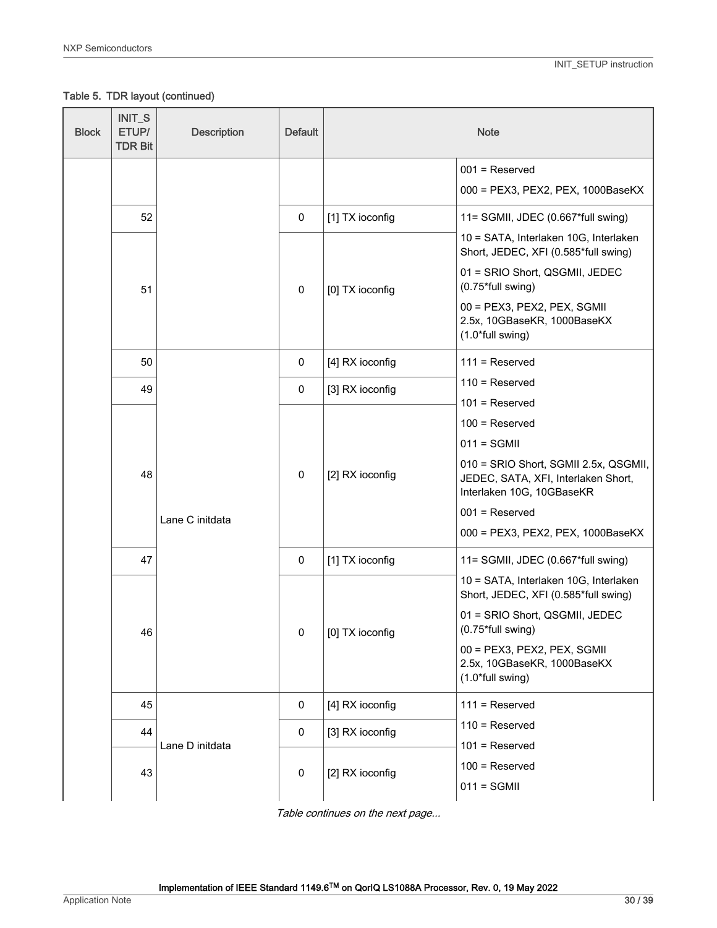Table 5. TDR layout (continued)

| <b>Block</b> | INIT_S<br>ETUP/<br><b>TDR Bit</b> | <b>Description</b> | <b>Default</b> |                 | <b>Note</b>                                                                                               |
|--------------|-----------------------------------|--------------------|----------------|-----------------|-----------------------------------------------------------------------------------------------------------|
|              |                                   |                    |                |                 | $001$ = Reserved                                                                                          |
|              |                                   |                    |                |                 | 000 = PEX3, PEX2, PEX, 1000BaseKX                                                                         |
|              | 52                                |                    | 0              | [1] TX ioconfig | 11= SGMII, JDEC (0.667*full swing)                                                                        |
|              |                                   |                    |                |                 | 10 = SATA, Interlaken 10G, Interlaken<br>Short, JEDEC, XFI (0.585*full swing)                             |
|              | 51                                |                    | $\mathbf 0$    | [0] TX ioconfig | 01 = SRIO Short, QSGMII, JEDEC<br>(0.75*full swing)                                                       |
|              |                                   |                    |                |                 | 00 = PEX3, PEX2, PEX, SGMII<br>2.5x, 10GBaseKR, 1000BaseKX<br>(1.0*full swing)                            |
|              | 50                                |                    | 0              | [4] RX ioconfig | $111 =$ Reserved                                                                                          |
|              | 49                                |                    | 0              | [3] RX ioconfig | $110$ = Reserved                                                                                          |
|              |                                   |                    | 0              | [2] RX ioconfig | $101$ = Reserved<br>$100$ = Reserved                                                                      |
|              |                                   |                    |                |                 | $011 = SGMII$                                                                                             |
|              | 48                                |                    |                |                 | 010 = SRIO Short, SGMII 2.5x, QSGMII,<br>JEDEC, SATA, XFI, Interlaken Short,<br>Interlaken 10G, 10GBaseKR |
|              |                                   | Lane C initdata    |                |                 | $001$ = Reserved                                                                                          |
|              |                                   |                    |                |                 | 000 = PEX3, PEX2, PEX, 1000BaseKX                                                                         |
|              | 47                                |                    | 0              | [1] TX ioconfig | 11= SGMII, JDEC (0.667*full swing)                                                                        |
|              |                                   |                    |                |                 | 10 = SATA, Interlaken 10G, Interlaken<br>Short, JEDEC, XFI (0.585*full swing)                             |
|              | 46                                |                    | 0              | [0] TX ioconfig | 01 = SRIO Short, QSGMII, JEDEC<br>(0.75*full swing)                                                       |
|              |                                   |                    |                |                 | 00 = PEX3, PEX2, PEX, SGMII<br>2.5x, 10GBaseKR, 1000BaseKX<br>(1.0*full swing)                            |
|              | 45                                |                    | 0              | [4] RX ioconfig | $111 =$ Reserved                                                                                          |
|              | 44                                |                    | 0              | [3] RX ioconfig | $110$ = Reserved                                                                                          |
|              | 43                                | Lane D initdata    | $\pmb{0}$      | [2] RX ioconfig | $101$ = Reserved<br>$100$ = Reserved<br>$011 = SGMII$                                                     |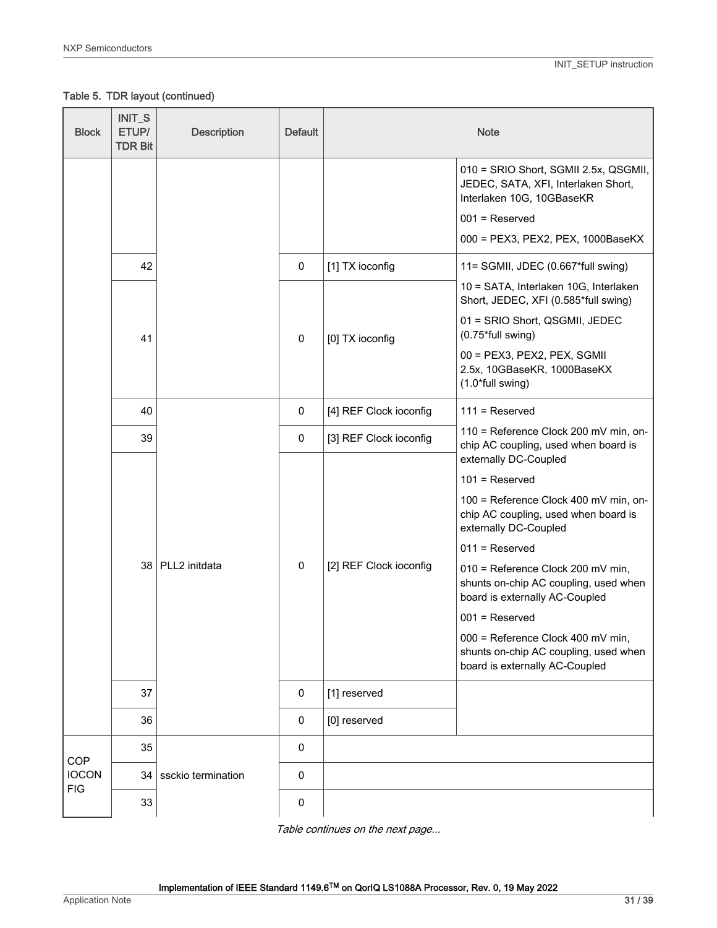# Table 5. TDR layout (continued)

| <b>Block</b>               | INIT_S<br>ETUP/<br><b>TDR Bit</b> | <b>Description</b> | <b>Default</b> |                        | <b>Note</b>                                                                                                  |
|----------------------------|-----------------------------------|--------------------|----------------|------------------------|--------------------------------------------------------------------------------------------------------------|
|                            |                                   |                    |                |                        | 010 = SRIO Short, SGMII 2.5x, QSGMII,<br>JEDEC, SATA, XFI, Interlaken Short,<br>Interlaken 10G, 10GBaseKR    |
|                            |                                   |                    |                |                        | $001$ = Reserved                                                                                             |
|                            |                                   |                    |                |                        | 000 = PEX3, PEX2, PEX, 1000BaseKX                                                                            |
|                            | 42                                |                    | 0              | [1] TX ioconfig        | 11= SGMII, JDEC (0.667*full swing)                                                                           |
|                            |                                   |                    |                |                        | 10 = SATA, Interlaken 10G, Interlaken<br>Short, JEDEC, XFI (0.585*full swing)                                |
|                            | 41                                |                    | $\pmb{0}$      | [0] TX ioconfig        | 01 = SRIO Short, QSGMII, JEDEC<br>(0.75*full swing)                                                          |
|                            |                                   |                    |                |                        | 00 = PEX3, PEX2, PEX, SGMII<br>2.5x, 10GBaseKR, 1000BaseKX<br>(1.0*full swing)                               |
|                            | 40                                |                    | 0              | [4] REF Clock ioconfig | $111$ = Reserved                                                                                             |
|                            | 39                                |                    | 0              | [3] REF Clock ioconfig | 110 = Reference Clock 200 mV min, on-<br>chip AC coupling, used when board is<br>externally DC-Coupled       |
|                            |                                   |                    |                |                        | $101$ = Reserved                                                                                             |
|                            |                                   |                    |                |                        | 100 = Reference Clock 400 mV min, on-<br>chip AC coupling, used when board is<br>externally DC-Coupled       |
|                            |                                   | 38   PLL2 initdata | 0              | [2] REF Clock ioconfig | $011 =$ Reserved                                                                                             |
|                            |                                   |                    |                |                        | 010 = Reference Clock 200 mV min,<br>shunts on-chip AC coupling, used when<br>board is externally AC-Coupled |
|                            |                                   |                    |                |                        | $001$ = Reserved                                                                                             |
|                            |                                   |                    |                |                        | 000 = Reference Clock 400 mV min,<br>shunts on-chip AC coupling, used when<br>board is externally AC-Coupled |
|                            | 37                                |                    | $\pmb{0}$      | [1] reserved           |                                                                                                              |
|                            | 36                                |                    | 0              | [0] reserved           |                                                                                                              |
|                            | 35                                |                    | $\pmb{0}$      |                        |                                                                                                              |
| <b>COP</b><br><b>IOCON</b> | 34                                | ssckio termination | $\pmb{0}$      |                        |                                                                                                              |
| <b>FIG</b>                 | 33                                |                    | $\pmb{0}$      |                        |                                                                                                              |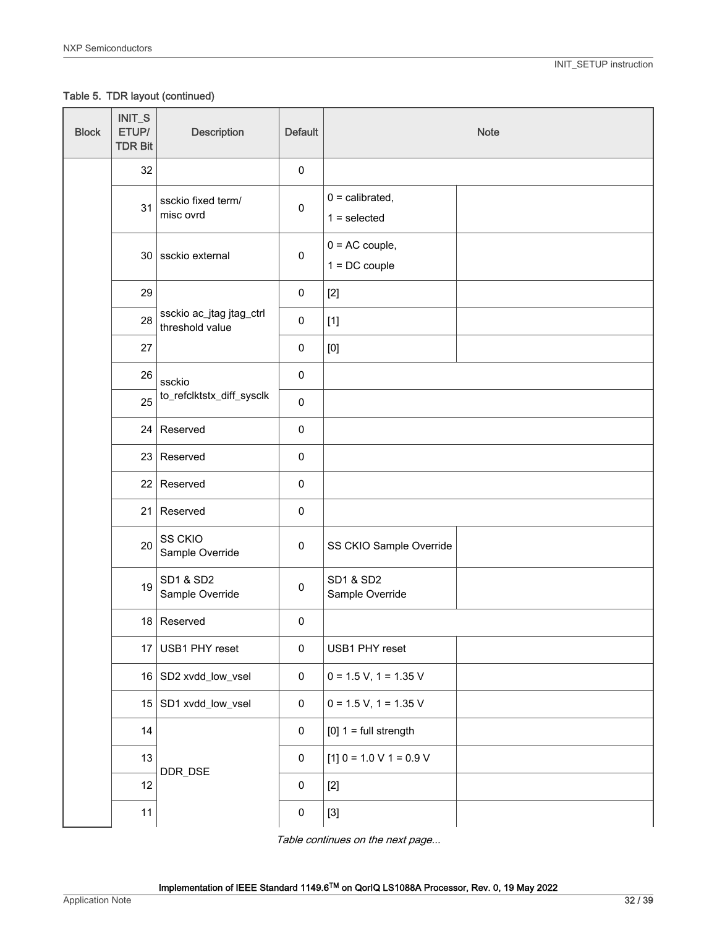Table 5. TDR layout (continued)

| <b>Block</b> | INIT_S<br>ETUP/<br><b>TDR Bit</b> | <b>Description</b>                          | <b>Default</b> |                                                                                                                                                                                                                                                                                                                                                                                                                                                                                                                                                                            | <b>Note</b> |
|--------------|-----------------------------------|---------------------------------------------|----------------|----------------------------------------------------------------------------------------------------------------------------------------------------------------------------------------------------------------------------------------------------------------------------------------------------------------------------------------------------------------------------------------------------------------------------------------------------------------------------------------------------------------------------------------------------------------------------|-------------|
|              | 32                                |                                             | $\pmb{0}$      |                                                                                                                                                                                                                                                                                                                                                                                                                                                                                                                                                                            |             |
|              | 31                                | ssckio fixed term/<br>misc ovrd             | $\pmb{0}$      | $0 =$ calibrated,<br>$1 = selected$                                                                                                                                                                                                                                                                                                                                                                                                                                                                                                                                        |             |
|              |                                   | 30 ssckio external                          | $\pmb{0}$      | $0 = AC$ couple,<br>$1 = DC$ couple                                                                                                                                                                                                                                                                                                                                                                                                                                                                                                                                        |             |
|              | 29                                |                                             | $\pmb{0}$      | $[2]$                                                                                                                                                                                                                                                                                                                                                                                                                                                                                                                                                                      |             |
|              | 28                                | ssckio ac_jtag jtag_ctrl<br>threshold value | $\pmb{0}$      | $[1]$                                                                                                                                                                                                                                                                                                                                                                                                                                                                                                                                                                      |             |
|              | 27                                |                                             | $\pmb{0}$      | $[0] % \begin{center} % \includegraphics[width=\linewidth]{imagesSupplemental_3.png} % \end{center} % \caption { % Our method can be used for the proposed method. % Note that the \emph{Defleft:} The \emph{Defleft:} the \emph{Defleft:} the \emph{Defleft:} the \emph{Defleft:} the \emph{Defleft:} the \emph{Defleft:} the \emph{Defleft:} the \emph{Defleft:} the \emph{Defleft:} the \emph{Defleft:} the \emph{Defleft:} the \emph{Defleft:} the \emph{Defleft:} the \emph{Defleft:} the \emph{Defleft:} the \emph{Defleft:} the \emph{Defleft:} the \emph{Defleft:$ |             |
|              | 26                                | ssckio                                      | $\pmb{0}$      |                                                                                                                                                                                                                                                                                                                                                                                                                                                                                                                                                                            |             |
|              | 25                                | to_refclktstx_diff_sysclk                   | $\pmb{0}$      |                                                                                                                                                                                                                                                                                                                                                                                                                                                                                                                                                                            |             |
|              |                                   | $24$ Reserved                               | $\pmb{0}$      |                                                                                                                                                                                                                                                                                                                                                                                                                                                                                                                                                                            |             |
|              |                                   | 23 Reserved                                 | $\pmb{0}$      |                                                                                                                                                                                                                                                                                                                                                                                                                                                                                                                                                                            |             |
|              |                                   | 22 Reserved                                 | $\pmb{0}$      |                                                                                                                                                                                                                                                                                                                                                                                                                                                                                                                                                                            |             |
|              |                                   | $21$ Reserved                               | $\pmb{0}$      |                                                                                                                                                                                                                                                                                                                                                                                                                                                                                                                                                                            |             |
|              | 20                                | SS CKIO<br>Sample Override                  | $\pmb{0}$      | SS CKIO Sample Override                                                                                                                                                                                                                                                                                                                                                                                                                                                                                                                                                    |             |
|              | 19                                | <b>SD1 &amp; SD2</b><br>Sample Override     | $\pmb{0}$      | <b>SD1 &amp; SD2</b><br>Sample Override                                                                                                                                                                                                                                                                                                                                                                                                                                                                                                                                    |             |
|              |                                   | 18 Reserved                                 | $\pmb{0}$      |                                                                                                                                                                                                                                                                                                                                                                                                                                                                                                                                                                            |             |
|              |                                   | 17 USB1 PHY reset                           | $\pmb{0}$      | USB1 PHY reset                                                                                                                                                                                                                                                                                                                                                                                                                                                                                                                                                             |             |
|              |                                   | 16 SD2 xvdd_low_vsel                        | $\pmb{0}$      | $0 = 1.5 V$ , $1 = 1.35 V$                                                                                                                                                                                                                                                                                                                                                                                                                                                                                                                                                 |             |
|              |                                   | 15 SD1 xvdd_low_vsel                        | $\pmb{0}$      | $0 = 1.5 V$ , $1 = 1.35 V$                                                                                                                                                                                                                                                                                                                                                                                                                                                                                                                                                 |             |
|              | 14                                |                                             | $\pmb{0}$      | $[0]$ 1 = full strength                                                                                                                                                                                                                                                                                                                                                                                                                                                                                                                                                    |             |
|              | 13                                | DDR_DSE                                     | $\pmb{0}$      | $[1]$ 0 = 1.0 V 1 = 0.9 V                                                                                                                                                                                                                                                                                                                                                                                                                                                                                                                                                  |             |
|              | 12                                |                                             | $\pmb{0}$      | $[2]$                                                                                                                                                                                                                                                                                                                                                                                                                                                                                                                                                                      |             |
|              | 11                                |                                             | $\pmb{0}$      | $[3] % \begin{center} \includegraphics[width=\linewidth]{imagesSupplemental/Imit} \caption{The image shows the image shows a single number of times.} \label{fig:limal} \end{center}$                                                                                                                                                                                                                                                                                                                                                                                      |             |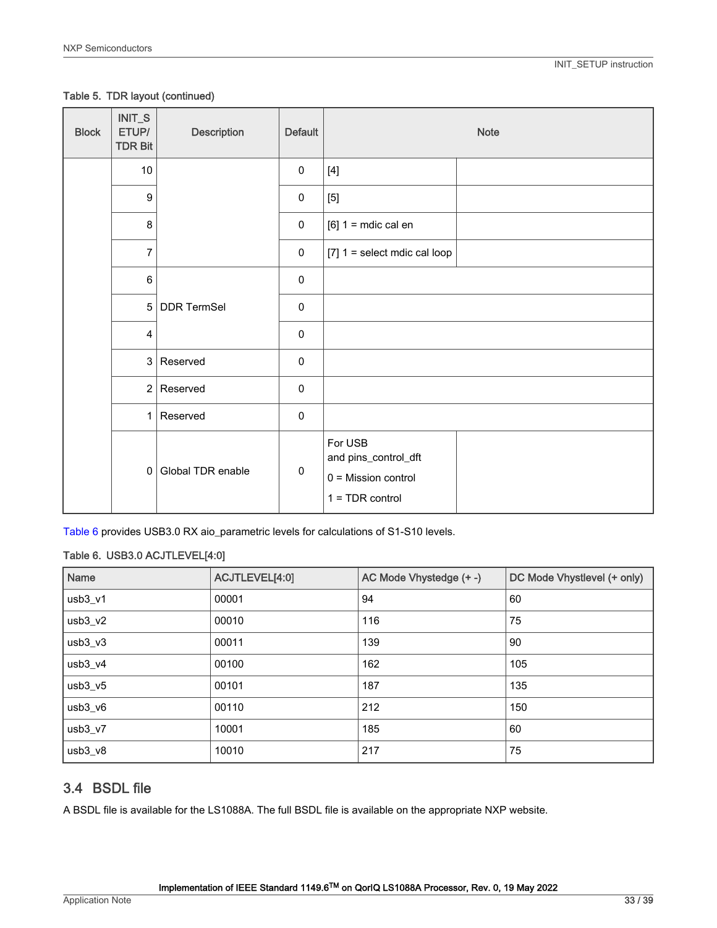#### <span id="page-32-0"></span>Table 5. TDR layout (continued)

| <b>Block</b> | INIT_S<br>ETUP/<br><b>TDR Bit</b> | Description       | <b>Default</b> |                                                                               | <b>Note</b> |
|--------------|-----------------------------------|-------------------|----------------|-------------------------------------------------------------------------------|-------------|
|              | $10\,$                            |                   | $\pmb{0}$      | $[4]$                                                                         |             |
|              | $\boldsymbol{9}$                  |                   | $\pmb{0}$      | $[5]$                                                                         |             |
|              | 8                                 |                   | $\pmb{0}$      | $[6]$ 1 = mdic cal en                                                         |             |
|              | $\overline{7}$                    |                   | $\pmb{0}$      | [7] $1 =$ select mdic cal loop                                                |             |
|              | $\,6\,$                           |                   | $\pmb{0}$      |                                                                               |             |
|              |                                   | 5 DDR TermSel     | $\pmb{0}$      |                                                                               |             |
|              | $\overline{4}$                    |                   | $\pmb{0}$      |                                                                               |             |
|              |                                   | $3$ Reserved      | $\pmb{0}$      |                                                                               |             |
|              |                                   | $2 $ Reserved     | 0              |                                                                               |             |
|              |                                   | $1$ Reserved      | $\pmb{0}$      |                                                                               |             |
|              | 0 <sup>1</sup>                    | Global TDR enable | $\mathsf 0$    | For USB<br>and pins_control_dft<br>$0 = Mission control$<br>$1 = TDR control$ |             |

Table 6 provides USB3.0 RX aio\_parametric levels for calculations of S1-S10 levels.

#### Table 6. USB3.0 ACJTLEVEL[4:0]

| Name      | ACJTLEVEL[4:0] | AC Mode Vhystedge (+-) | DC Mode Vhystlevel (+ only) |
|-----------|----------------|------------------------|-----------------------------|
| $usb3_v1$ | 00001          | 94                     | 60                          |
| $usb3_v2$ | 00010          | 116                    | 75                          |
| $usb3_v3$ | 00011          | 139                    | 90                          |
| $usb3_v4$ | 00100          | 162                    | 105                         |
| $usb3_v5$ | 00101          | 187                    | 135                         |
| $usb3_v6$ | 00110          | 212                    | 150                         |
| usb3_v7   | 10001          | 185                    | 60                          |
| $usb3_v8$ | 10010          | 217                    | 75                          |

# 3.4 BSDL file

A BSDL file is available for the LS1088A. The full BSDL file is available on the appropriate NXP website.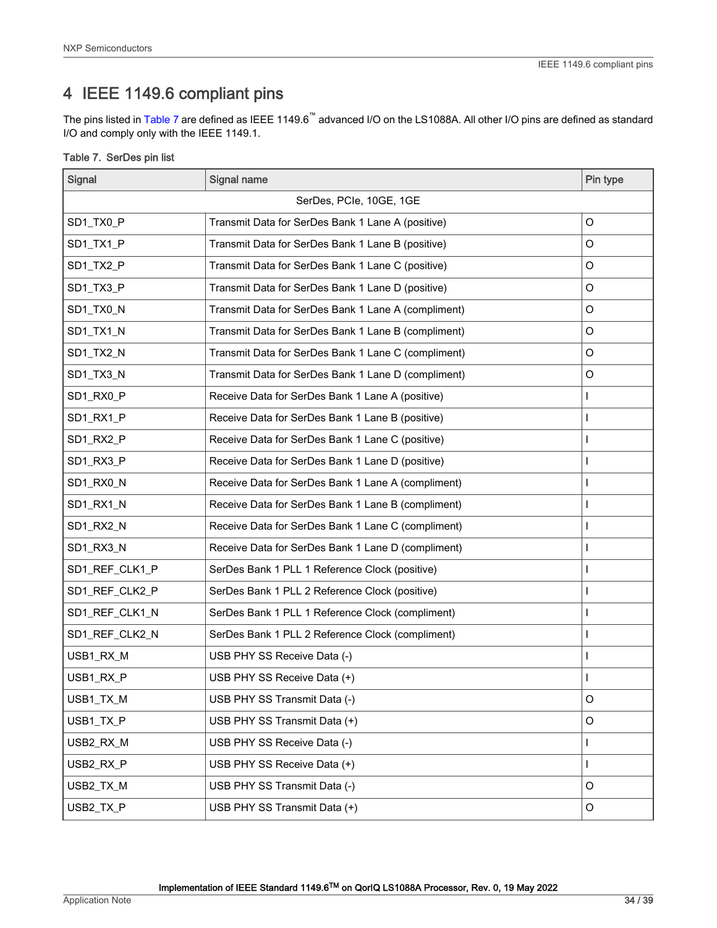# <span id="page-33-0"></span>4 IEEE 1149.6 compliant pins

The pins listed in Table 7 are defined as IEEE 1149.6™ advanced I/O on the LS1088A. All other I/O pins are defined as standard I/O and comply only with the IEEE 1149.1.

|  |  |  | Table 7. SerDes pin list |  |  |
|--|--|--|--------------------------|--|--|
|--|--|--|--------------------------|--|--|

| Signal                  | <b>Signal name</b>                                  | Pin type     |  |
|-------------------------|-----------------------------------------------------|--------------|--|
| SerDes, PCIe, 10GE, 1GE |                                                     |              |  |
| SD1_TX0_P               | Transmit Data for SerDes Bank 1 Lane A (positive)   | $\circ$      |  |
| SD1_TX1_P               | Transmit Data for SerDes Bank 1 Lane B (positive)   | O            |  |
| SD1_TX2_P               | Transmit Data for SerDes Bank 1 Lane C (positive)   | $\circ$      |  |
| SD1_TX3_P               | Transmit Data for SerDes Bank 1 Lane D (positive)   | $\circ$      |  |
| SD1_TX0_N               | Transmit Data for SerDes Bank 1 Lane A (compliment) | O            |  |
| SD1_TX1_N               | Transmit Data for SerDes Bank 1 Lane B (compliment) | $\circ$      |  |
| SD1_TX2_N               | Transmit Data for SerDes Bank 1 Lane C (compliment) | O            |  |
| SD1_TX3_N               | Transmit Data for SerDes Bank 1 Lane D (compliment) | O            |  |
| SD1_RX0_P               | Receive Data for SerDes Bank 1 Lane A (positive)    | I            |  |
| SD1_RX1_P               | Receive Data for SerDes Bank 1 Lane B (positive)    |              |  |
| SD1_RX2_P               | Receive Data for SerDes Bank 1 Lane C (positive)    |              |  |
| SD1_RX3_P               | Receive Data for SerDes Bank 1 Lane D (positive)    |              |  |
| SD1_RX0_N               | Receive Data for SerDes Bank 1 Lane A (compliment)  |              |  |
| SD1_RX1_N               | Receive Data for SerDes Bank 1 Lane B (compliment)  |              |  |
| SD1_RX2_N               | Receive Data for SerDes Bank 1 Lane C (compliment)  |              |  |
| SD1_RX3_N               | Receive Data for SerDes Bank 1 Lane D (compliment)  | $\mathbf{I}$ |  |
| SD1_REF_CLK1_P          | SerDes Bank 1 PLL 1 Reference Clock (positive)      |              |  |
| SD1_REF_CLK2_P          | SerDes Bank 1 PLL 2 Reference Clock (positive)      |              |  |
| SD1_REF_CLK1_N          | SerDes Bank 1 PLL 1 Reference Clock (compliment)    | $\mathsf{I}$ |  |
| SD1_REF_CLK2_N          | SerDes Bank 1 PLL 2 Reference Clock (compliment)    |              |  |
| USB1_RX_M               | USB PHY SS Receive Data (-)                         |              |  |
| USB1_RX_P               | USB PHY SS Receive Data (+)                         |              |  |
| USB1_TX_M               | USB PHY SS Transmit Data (-)                        | O            |  |
| USB1_TX_P               | USB PHY SS Transmit Data (+)                        | O            |  |
| USB2_RX_M               | USB PHY SS Receive Data (-)                         |              |  |
| USB2_RX_P               | USB PHY SS Receive Data (+)                         |              |  |
| USB2_TX_M               | USB PHY SS Transmit Data (-)                        | O            |  |
| USB2_TX_P               | USB PHY SS Transmit Data (+)                        | O            |  |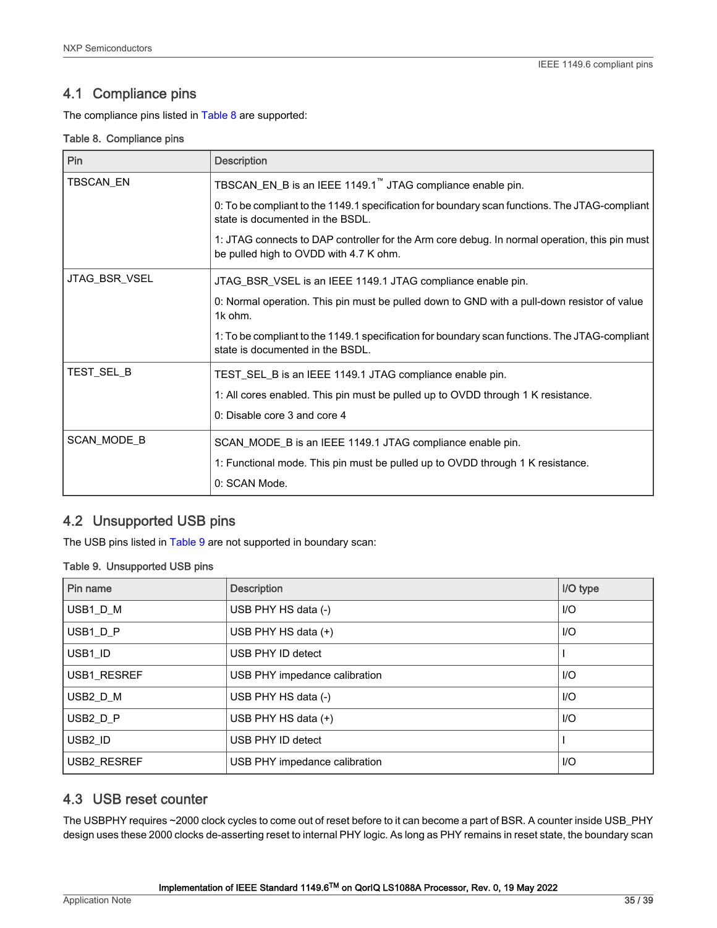# <span id="page-34-0"></span>4.1 Compliance pins

The compliance pins listed in Table 8 are supported:

#### Table 8. Compliance pins

| Pin                | <b>Description</b>                                                                                                                      |
|--------------------|-----------------------------------------------------------------------------------------------------------------------------------------|
| TBSCAN_EN          | TBSCAN_EN_B is an IEEE 1149.1 <sup>"</sup> JTAG compliance enable pin.                                                                  |
|                    | 0: To be compliant to the 1149.1 specification for boundary scan functions. The JTAG-compliant<br>state is documented in the BSDL.      |
|                    | 1: JTAG connects to DAP controller for the Arm core debug. In normal operation, this pin must<br>be pulled high to OVDD with 4.7 K ohm. |
| JTAG_BSR_VSEL      | JTAG_BSR_VSEL is an IEEE 1149.1 JTAG compliance enable pin.                                                                             |
|                    | 0: Normal operation. This pin must be pulled down to GND with a pull-down resistor of value<br>1k ohm.                                  |
|                    | 1: To be compliant to the 1149.1 specification for boundary scan functions. The JTAG-compliant<br>state is documented in the BSDL.      |
| TEST_SEL_B         | TEST_SEL_B is an IEEE 1149.1 JTAG compliance enable pin.                                                                                |
|                    | 1: All cores enabled. This pin must be pulled up to OVDD through 1 K resistance.                                                        |
|                    | 0: Disable core 3 and core 4                                                                                                            |
| <b>SCAN MODE B</b> | SCAN_MODE_B is an IEEE 1149.1 JTAG compliance enable pin.                                                                               |
|                    | 1: Functional mode. This pin must be pulled up to OVDD through 1 K resistance.                                                          |
|                    | 0: SCAN Mode.                                                                                                                           |

# 4.2 Unsupported USB pins

The USB pins listed in Table 9 are not supported in boundary scan:

#### Table 9. Unsupported USB pins

| Pin name            | <b>Description</b>            | I/O type |
|---------------------|-------------------------------|----------|
| USB1 D M            | USB PHY HS data (-)           | $II$     |
| USB1_D_P            | USB PHY HS data (+)           | $II$     |
| USB1_ID             | USB PHY ID detect             |          |
| USB1_RESREF         | USB PHY impedance calibration | $II$     |
| USB2 D M            | USB PHY HS data (-)           | $II$     |
| USB2_D_P            | USB PHY HS data $(+)$         | $II$     |
| USB <sub>2</sub> ID | USB PHY ID detect             |          |
| <b>USB2 RESREF</b>  | USB PHY impedance calibration | $II$     |

# 4.3 USB reset counter

The USBPHY requires ~2000 clock cycles to come out of reset before to it can become a part of BSR. A counter inside USB\_PHY design uses these 2000 clocks de-asserting reset to internal PHY logic. As long as PHY remains in reset state, the boundary scan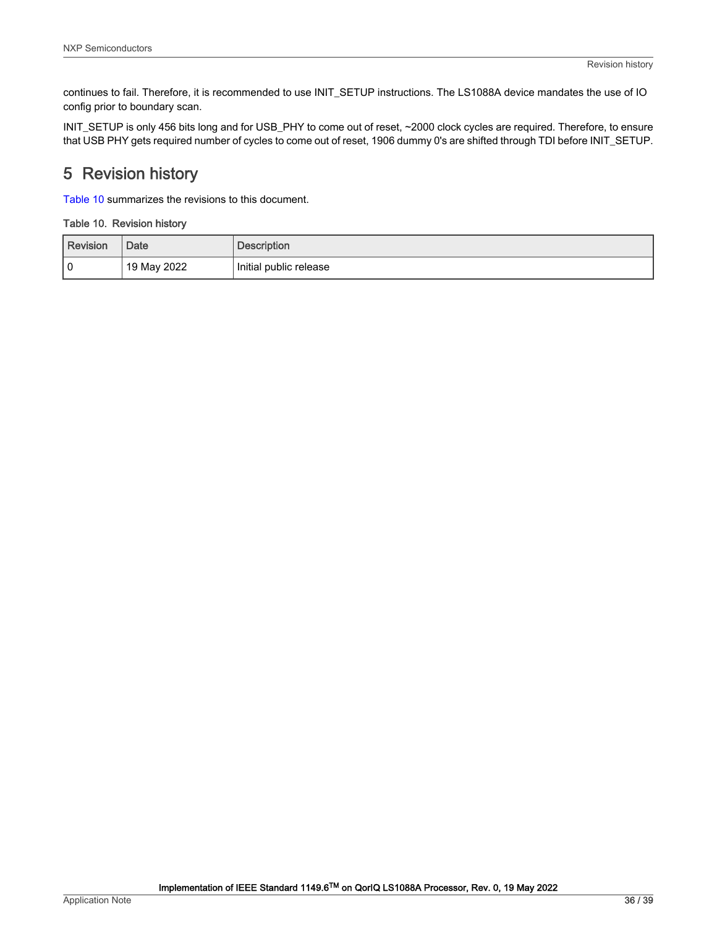<span id="page-35-0"></span>continues to fail. Therefore, it is recommended to use INIT\_SETUP instructions. The LS1088A device mandates the use of IO config prior to boundary scan.

INIT\_SETUP is only 456 bits long and for USB\_PHY to come out of reset, ~2000 clock cycles are required. Therefore, to ensure that USB PHY gets required number of cycles to come out of reset, 1906 dummy 0's are shifted through TDI before INIT\_SETUP.

# 5 Revision history

Table 10 summarizes the revisions to this document.

#### Table 10. Revision history

| Revision | Date        | <b>Description</b>     |
|----------|-------------|------------------------|
| l 0      | 19 May 2022 | Initial public release |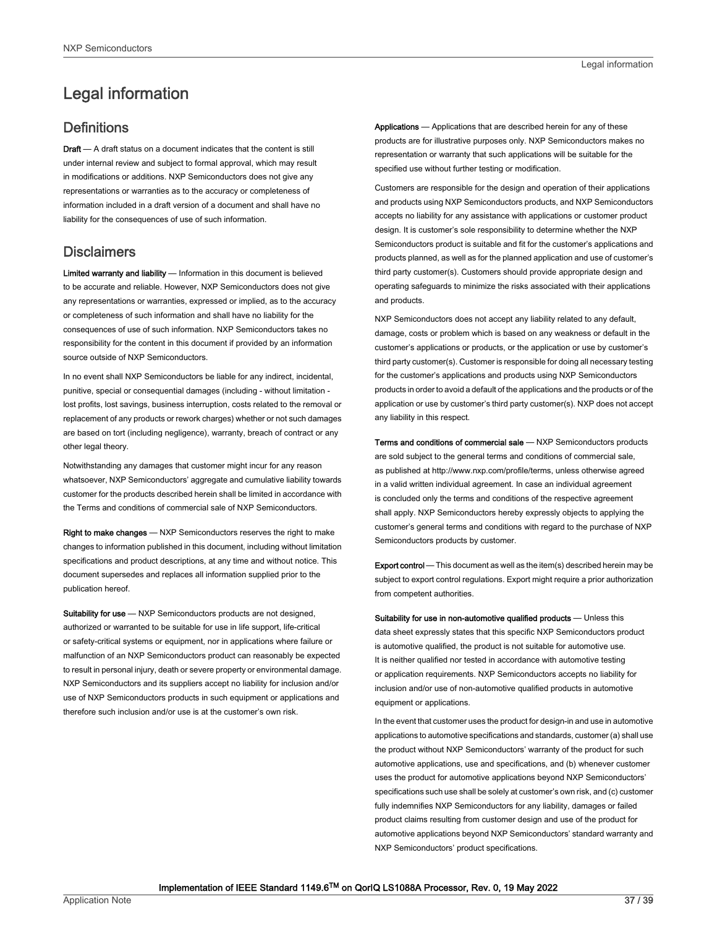# <span id="page-36-0"></span>Legal information

# **Definitions**

Draft - A draft status on a document indicates that the content is still under internal review and subject to formal approval, which may result in modifications or additions. NXP Semiconductors does not give any representations or warranties as to the accuracy or completeness of information included in a draft version of a document and shall have no liability for the consequences of use of such information.

# **Disclaimers**

Limited warranty and liability - Information in this document is believed to be accurate and reliable. However, NXP Semiconductors does not give any representations or warranties, expressed or implied, as to the accuracy or completeness of such information and shall have no liability for the consequences of use of such information. NXP Semiconductors takes no responsibility for the content in this document if provided by an information source outside of NXP Semiconductors.

In no event shall NXP Semiconductors be liable for any indirect, incidental, punitive, special or consequential damages (including - without limitation lost profits, lost savings, business interruption, costs related to the removal or replacement of any products or rework charges) whether or not such damages are based on tort (including negligence), warranty, breach of contract or any other legal theory.

Notwithstanding any damages that customer might incur for any reason whatsoever, NXP Semiconductors' aggregate and cumulative liability towards customer for the products described herein shall be limited in accordance with the Terms and conditions of commercial sale of NXP Semiconductors.

Right to make changes — NXP Semiconductors reserves the right to make changes to information published in this document, including without limitation specifications and product descriptions, at any time and without notice. This document supersedes and replaces all information supplied prior to the publication hereof.

Suitability for use - NXP Semiconductors products are not designed, authorized or warranted to be suitable for use in life support, life-critical or safety-critical systems or equipment, nor in applications where failure or malfunction of an NXP Semiconductors product can reasonably be expected to result in personal injury, death or severe property or environmental damage. NXP Semiconductors and its suppliers accept no liability for inclusion and/or use of NXP Semiconductors products in such equipment or applications and therefore such inclusion and/or use is at the customer's own risk.

Applications — Applications that are described herein for any of these products are for illustrative purposes only. NXP Semiconductors makes no representation or warranty that such applications will be suitable for the specified use without further testing or modification.

Customers are responsible for the design and operation of their applications and products using NXP Semiconductors products, and NXP Semiconductors accepts no liability for any assistance with applications or customer product design. It is customer's sole responsibility to determine whether the NXP Semiconductors product is suitable and fit for the customer's applications and products planned, as well as for the planned application and use of customer's third party customer(s). Customers should provide appropriate design and operating safeguards to minimize the risks associated with their applications and products.

NXP Semiconductors does not accept any liability related to any default, damage, costs or problem which is based on any weakness or default in the customer's applications or products, or the application or use by customer's third party customer(s). Customer is responsible for doing all necessary testing for the customer's applications and products using NXP Semiconductors products in order to avoid a default of the applications and the products or of the application or use by customer's third party customer(s). NXP does not accept any liability in this respect.

Terms and conditions of commercial sale — NXP Semiconductors products are sold subject to the general terms and conditions of commercial sale, as published at http://www.nxp.com/profile/terms, unless otherwise agreed in a valid written individual agreement. In case an individual agreement is concluded only the terms and conditions of the respective agreement shall apply. NXP Semiconductors hereby expressly objects to applying the customer's general terms and conditions with regard to the purchase of NXP Semiconductors products by customer.

Export control - This document as well as the item(s) described herein may be subject to export control regulations. Export might require a prior authorization from competent authorities.

Suitability for use in non-automotive qualified products - Unless this data sheet expressly states that this specific NXP Semiconductors product is automotive qualified, the product is not suitable for automotive use. It is neither qualified nor tested in accordance with automotive testing or application requirements. NXP Semiconductors accepts no liability for inclusion and/or use of non-automotive qualified products in automotive equipment or applications.

In the event that customer uses the product for design-in and use in automotive applications to automotive specifications and standards, customer (a) shall use the product without NXP Semiconductors' warranty of the product for such automotive applications, use and specifications, and (b) whenever customer uses the product for automotive applications beyond NXP Semiconductors' specifications such use shall be solely at customer's own risk, and (c) customer fully indemnifies NXP Semiconductors for any liability, damages or failed product claims resulting from customer design and use of the product for automotive applications beyond NXP Semiconductors' standard warranty and NXP Semiconductors' product specifications.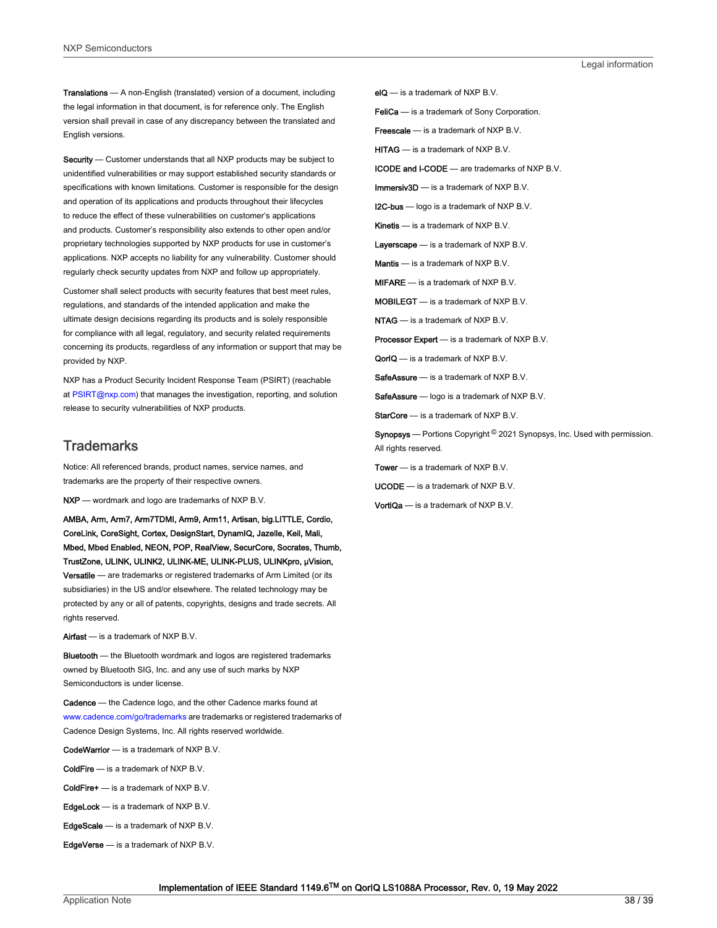Translations — A non-English (translated) version of a document, including the legal information in that document, is for reference only. The English version shall prevail in case of any discrepancy between the translated and English versions.

Security - Customer understands that all NXP products may be subject to unidentified vulnerabilities or may support established security standards or specifications with known limitations. Customer is responsible for the design and operation of its applications and products throughout their lifecycles to reduce the effect of these vulnerabilities on customer's applications and products. Customer's responsibility also extends to other open and/or proprietary technologies supported by NXP products for use in customer's applications. NXP accepts no liability for any vulnerability. Customer should regularly check security updates from NXP and follow up appropriately.

Customer shall select products with security features that best meet rules, regulations, and standards of the intended application and make the ultimate design decisions regarding its products and is solely responsible for compliance with all legal, regulatory, and security related requirements concerning its products, regardless of any information or support that may be provided by NXP.

NXP has a Product Security Incident Response Team (PSIRT) (reachable at [PSIRT@nxp.com\)](mailto:PSIRT@nxp.com) that manages the investigation, reporting, and solution release to security vulnerabilities of NXP products.

#### **Trademarks**

Notice: All referenced brands, product names, service names, and trademarks are the property of their respective owners.

NXP — wordmark and logo are trademarks of NXP B.V.

AMBA, Arm, Arm7, Arm7TDMI, Arm9, Arm11, Artisan, big.LITTLE, Cordio, CoreLink, CoreSight, Cortex, DesignStart, DynamIQ, Jazelle, Keil, Mali, Mbed, Mbed Enabled, NEON, POP, RealView, SecurCore, Socrates, Thumb, TrustZone, ULINK, ULINK2, ULINK-ME, ULINK-PLUS, ULINKpro, μVision, Versatile — are trademarks or registered trademarks of Arm Limited (or its subsidiaries) in the US and/or elsewhere. The related technology may be protected by any or all of patents, copyrights, designs and trade secrets. All rights reserved.

Airfast — is a trademark of NXP B.V.

**Bluetooth** — the Bluetooth wordmark and logos are registered trademarks owned by Bluetooth SIG, Inc. and any use of such marks by NXP Semiconductors is under license.

Cadence — the Cadence logo, and the other Cadence marks found at [www.cadence.com/go/trademarks](http://www.cadence.com/go/trademarks) are trademarks or registered trademarks of Cadence Design Systems, Inc. All rights reserved worldwide.

CodeWarrior — is a trademark of NXP B.V.

- ColdFire is a trademark of NXP B.V.
- ColdFire+ is a trademark of NXP B.V.
- EdgeLock is a trademark of NXP B.V.
- EdgeScale is a trademark of NXP B.V.
- EdgeVerse is a trademark of NXP B.V.

elQ - is a trademark of NXP B.V.

FeliCa - is a trademark of Sony Corporation.

**Freescale** — is a trademark of NXP B.V.

HITAG — is a trademark of NXP B.V.

ICODE and I-CODE — are trademarks of NXP B.V.

Immersiv3D — is a trademark of NXP B.V.

**I2C-bus** — logo is a trademark of NXP B.V.

Kinetis - is a trademark of NXP B.V.

Layerscape - is a trademark of NXP B.V.

Mantis - is a trademark of NXP B.V.

MIFARE — is a trademark of NXP B.V.

MOBILEGT — is a trademark of NXP B.V.

NTAG — is a trademark of NXP B.V.

Processor Expert - is a trademark of NXP B.V.

QorIQ - is a trademark of NXP B.V.

SafeAssure — is a trademark of NXP B.V.

SafeAssure - logo is a trademark of NXP B.V.

StarCore - is a trademark of NXP B.V.

Synopsys - Portions Copyright <sup>©</sup> 2021 Synopsys, Inc. Used with permission. All rights reserved.

Tower — is a trademark of NXP B.V.

UCODE — is a trademark of NXP B.V.

VortiQa — is a trademark of NXP B.V.